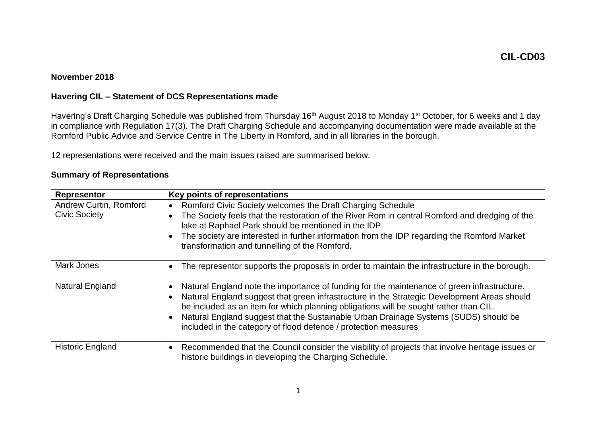## **November 2018**

## **Havering CIL – Statement of DCS Representations made**

Havering's Draft Charging Schedule was published from Thursday 16<sup>th</sup> August 2018 to Monday 1<sup>st</sup> October, for 6 weeks and 1 day in compliance with Regulation 17(3). The Draft Charging Schedule and accompanying documentation were made available at the Romford Public Advice and Service Centre in The Liberty in Romford, and in all libraries in the borough.

12 representations were received and the main issues raised are summarised below.

| Representor                                           | Key points of representations                                                                                                                                                                                                                                                                                                                                                                                                                  |  |  |
|-------------------------------------------------------|------------------------------------------------------------------------------------------------------------------------------------------------------------------------------------------------------------------------------------------------------------------------------------------------------------------------------------------------------------------------------------------------------------------------------------------------|--|--|
| <b>Andrew Curtin, Romford</b><br><b>Civic Society</b> | Romford Civic Society welcomes the Draft Charging Schedule<br>$\bullet$<br>The Society feels that the restoration of the River Rom in central Romford and dredging of the<br>lake at Raphael Park should be mentioned in the IDP<br>The society are interested in further information from the IDP regarding the Romford Market<br>transformation and tunnelling of the Romford.                                                               |  |  |
| Mark Jones                                            | The representor supports the proposals in order to maintain the infrastructure in the borough.                                                                                                                                                                                                                                                                                                                                                 |  |  |
| <b>Natural England</b>                                | Natural England note the importance of funding for the maintenance of green infrastructure.<br>Natural England suggest that green infrastructure in the Strategic Development Areas should<br>be included as an item for which planning obligations will be sought rather than CIL.<br>Natural England suggest that the Sustainable Urban Drainage Systems (SUDS) should be<br>included in the category of flood defence / protection measures |  |  |
| <b>Historic England</b>                               | Recommended that the Council consider the viability of projects that involve heritage issues or<br>historic buildings in developing the Charging Schedule.                                                                                                                                                                                                                                                                                     |  |  |

## **Summary of Representations**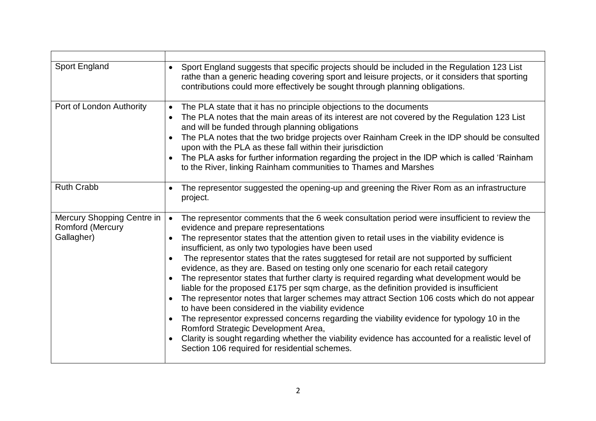| Sport England suggests that specific projects should be included in the Regulation 123 List<br>$\bullet$<br>rathe than a generic heading covering sport and leisure projects, or it considers that sporting<br>contributions could more effectively be sought through planning obligations. |
|---------------------------------------------------------------------------------------------------------------------------------------------------------------------------------------------------------------------------------------------------------------------------------------------|
| The PLA state that it has no principle objections to the documents<br>$\bullet$                                                                                                                                                                                                             |
| The PLA notes that the main areas of its interest are not covered by the Regulation 123 List<br>and will be funded through planning obligations                                                                                                                                             |
| The PLA notes that the two bridge projects over Rainham Creek in the IDP should be consulted<br>upon with the PLA as these fall within their jurisdiction                                                                                                                                   |
| The PLA asks for further information regarding the project in the IDP which is called 'Rainham<br>to the River, linking Rainham communities to Thames and Marshes                                                                                                                           |
| The representor suggested the opening-up and greening the River Rom as an infrastructure<br>project.                                                                                                                                                                                        |
| The representor comments that the 6 week consultation period were insufficient to review the<br>$\bullet$<br>evidence and prepare representations                                                                                                                                           |
| The representor states that the attention given to retail uses in the viability evidence is<br>insufficient, as only two typologies have been used                                                                                                                                          |
| The representor states that the rates suggtesed for retail are not supported by sufficient<br>$\bullet$<br>evidence, as they are. Based on testing only one scenario for each retail category                                                                                               |
| The representor states that further clarty is required regarding what development would be<br>liable for the proposed £175 per sqm charge, as the definition provided is insufficient                                                                                                       |
| The representor notes that larger schemes may attract Section 106 costs which do not appear<br>to have been considered in the viability evidence                                                                                                                                            |
| The representor expressed concerns regarding the viability evidence for typology 10 in the<br>Romford Strategic Development Area,                                                                                                                                                           |
| Clarity is sought regarding whether the viability evidence has accounted for a realistic level of<br>Section 106 required for residential schemes.                                                                                                                                          |
|                                                                                                                                                                                                                                                                                             |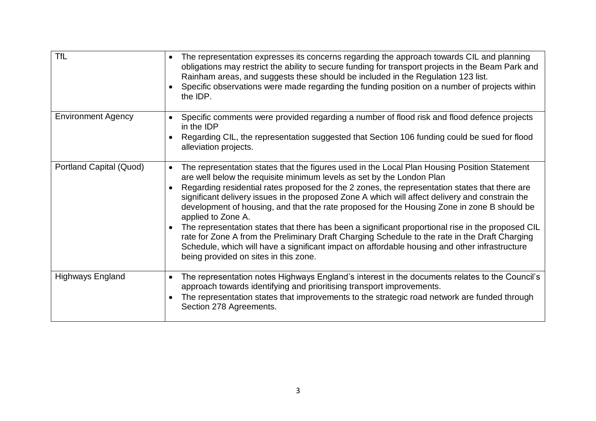| <b>TfL</b>                | The representation expresses its concerns regarding the approach towards CIL and planning<br>obligations may restrict the ability to secure funding for transport projects in the Beam Park and<br>Rainham areas, and suggests these should be included in the Regulation 123 list.<br>Specific observations were made regarding the funding position on a number of projects within<br>the IDP.                                                                                                                                                                                                                                                                                                                                                                                                                                                 |
|---------------------------|--------------------------------------------------------------------------------------------------------------------------------------------------------------------------------------------------------------------------------------------------------------------------------------------------------------------------------------------------------------------------------------------------------------------------------------------------------------------------------------------------------------------------------------------------------------------------------------------------------------------------------------------------------------------------------------------------------------------------------------------------------------------------------------------------------------------------------------------------|
| <b>Environment Agency</b> | Specific comments were provided regarding a number of flood risk and flood defence projects<br>in the IDP<br>Regarding CIL, the representation suggested that Section 106 funding could be sued for flood<br>alleviation projects.                                                                                                                                                                                                                                                                                                                                                                                                                                                                                                                                                                                                               |
| Portland Capital (Quod)   | The representation states that the figures used in the Local Plan Housing Position Statement<br>are well below the requisite minimum levels as set by the London Plan<br>Regarding residential rates proposed for the 2 zones, the representation states that there are<br>significant delivery issues in the proposed Zone A which will affect delivery and constrain the<br>development of housing, and that the rate proposed for the Housing Zone in zone B should be<br>applied to Zone A.<br>The representation states that there has been a significant proportional rise in the proposed CIL<br>rate for Zone A from the Preliminary Draft Charging Schedule to the rate in the Draft Charging<br>Schedule, which will have a significant impact on affordable housing and other infrastructure<br>being provided on sites in this zone. |
| <b>Highways England</b>   | The representation notes Highways England's interest in the documents relates to the Council's<br>approach towards identifying and prioritising transport improvements.<br>The representation states that improvements to the strategic road network are funded through<br>Section 278 Agreements.                                                                                                                                                                                                                                                                                                                                                                                                                                                                                                                                               |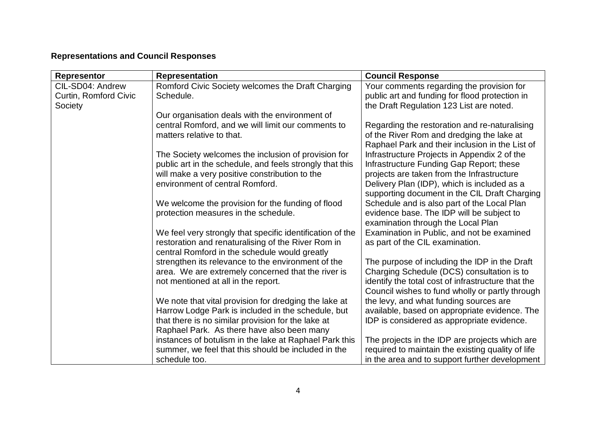## **Representations and Council Responses**

| <b>Representor</b>    | <b>Representation</b>                                                                                       | <b>Council Response</b>                                                                      |
|-----------------------|-------------------------------------------------------------------------------------------------------------|----------------------------------------------------------------------------------------------|
| CIL-SD04: Andrew      | Romford Civic Society welcomes the Draft Charging                                                           | Your comments regarding the provision for                                                    |
| Curtin, Romford Civic | Schedule.                                                                                                   | public art and funding for flood protection in                                               |
| Society               |                                                                                                             | the Draft Regulation 123 List are noted.                                                     |
|                       | Our organisation deals with the environment of                                                              |                                                                                              |
|                       | central Romford, and we will limit our comments to<br>matters relative to that.                             | Regarding the restoration and re-naturalising                                                |
|                       |                                                                                                             | of the River Rom and dredging the lake at<br>Raphael Park and their inclusion in the List of |
|                       | The Society welcomes the inclusion of provision for                                                         | Infrastructure Projects in Appendix 2 of the                                                 |
|                       | public art in the schedule, and feels strongly that this                                                    | Infrastructure Funding Gap Report; these                                                     |
|                       | will make a very positive constribution to the                                                              | projects are taken from the Infrastructure                                                   |
|                       | environment of central Romford.                                                                             | Delivery Plan (IDP), which is included as a                                                  |
|                       |                                                                                                             | supporting document in the CIL Draft Charging                                                |
|                       | We welcome the provision for the funding of flood                                                           | Schedule and is also part of the Local Plan                                                  |
|                       | protection measures in the schedule.                                                                        | evidence base. The IDP will be subject to                                                    |
|                       |                                                                                                             | examination through the Local Plan                                                           |
|                       | We feel very strongly that specific identification of the                                                   | Examination in Public, and not be examined                                                   |
|                       | restoration and renaturalising of the River Rom in                                                          | as part of the CIL examination.                                                              |
|                       | central Romford in the schedule would greatly                                                               |                                                                                              |
|                       | strengthen its relevance to the environment of the                                                          | The purpose of including the IDP in the Draft                                                |
|                       | area. We are extremely concerned that the river is                                                          | Charging Schedule (DCS) consultation is to                                                   |
|                       | not mentioned at all in the report.                                                                         | identify the total cost of infrastructure that the                                           |
|                       |                                                                                                             | Council wishes to fund wholly or partly through                                              |
|                       | We note that vital provision for dredging the lake at<br>Harrow Lodge Park is included in the schedule, but | the levy, and what funding sources are                                                       |
|                       | that there is no similar provision for the lake at                                                          | available, based on appropriate evidence. The<br>IDP is considered as appropriate evidence.  |
|                       | Raphael Park. As there have also been many                                                                  |                                                                                              |
|                       | instances of botulism in the lake at Raphael Park this                                                      | The projects in the IDP are projects which are                                               |
|                       | summer, we feel that this should be included in the                                                         | required to maintain the existing quality of life                                            |
|                       | schedule too.                                                                                               | in the area and to support further development                                               |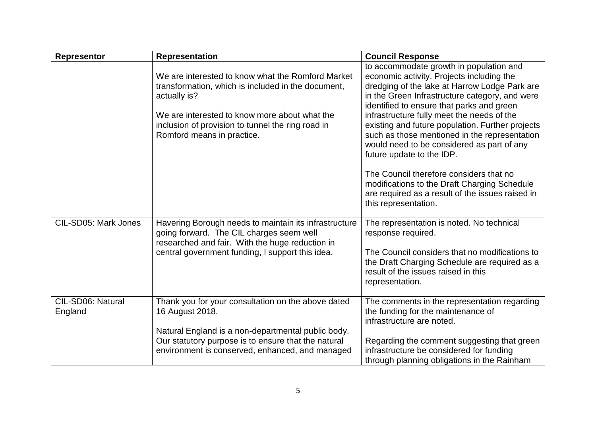| <b>Representor</b>           | <b>Representation</b>                                                                                                                                                                                                                                       | <b>Council Response</b>                                                                                                                                                                                                                                                                                                                                                                                                                                                                                                                                                                                                                   |
|------------------------------|-------------------------------------------------------------------------------------------------------------------------------------------------------------------------------------------------------------------------------------------------------------|-------------------------------------------------------------------------------------------------------------------------------------------------------------------------------------------------------------------------------------------------------------------------------------------------------------------------------------------------------------------------------------------------------------------------------------------------------------------------------------------------------------------------------------------------------------------------------------------------------------------------------------------|
|                              | We are interested to know what the Romford Market<br>transformation, which is included in the document,<br>actually is?<br>We are interested to know more about what the<br>inclusion of provision to tunnel the ring road in<br>Romford means in practice. | to accommodate growth in population and<br>economic activity. Projects including the<br>dredging of the lake at Harrow Lodge Park are<br>in the Green Infrastructure category, and were<br>identified to ensure that parks and green<br>infrastructure fully meet the needs of the<br>existing and future population. Further projects<br>such as those mentioned in the representation<br>would need to be considered as part of any<br>future update to the IDP.<br>The Council therefore considers that no<br>modifications to the Draft Charging Schedule<br>are required as a result of the issues raised in<br>this representation. |
| CIL-SD05: Mark Jones         | Havering Borough needs to maintain its infrastructure<br>going forward. The CIL charges seem well<br>researched and fair. With the huge reduction in<br>central government funding, I support this idea.                                                    | The representation is noted. No technical<br>response required.<br>The Council considers that no modifications to<br>the Draft Charging Schedule are required as a<br>result of the issues raised in this<br>representation.                                                                                                                                                                                                                                                                                                                                                                                                              |
| CIL-SD06: Natural<br>England | Thank you for your consultation on the above dated<br>16 August 2018.<br>Natural England is a non-departmental public body.<br>Our statutory purpose is to ensure that the natural<br>environment is conserved, enhanced, and managed                       | The comments in the representation regarding<br>the funding for the maintenance of<br>infrastructure are noted.<br>Regarding the comment suggesting that green<br>infrastructure be considered for funding<br>through planning obligations in the Rainham                                                                                                                                                                                                                                                                                                                                                                                 |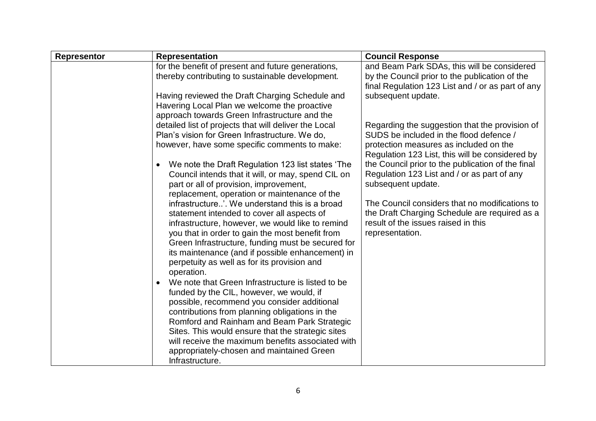| <b>Representor</b> | <b>Representation</b>                                                                                                                                                                                                                                                                                                                                                                                                     | <b>Council Response</b>                                                                                                                                                   |
|--------------------|---------------------------------------------------------------------------------------------------------------------------------------------------------------------------------------------------------------------------------------------------------------------------------------------------------------------------------------------------------------------------------------------------------------------------|---------------------------------------------------------------------------------------------------------------------------------------------------------------------------|
|                    | for the benefit of present and future generations,<br>thereby contributing to sustainable development.                                                                                                                                                                                                                                                                                                                    | and Beam Park SDAs, this will be considered<br>by the Council prior to the publication of the<br>final Regulation 123 List and / or as part of any                        |
|                    | Having reviewed the Draft Charging Schedule and<br>Havering Local Plan we welcome the proactive                                                                                                                                                                                                                                                                                                                           | subsequent update.                                                                                                                                                        |
|                    | approach towards Green Infrastructure and the<br>detailed list of projects that will deliver the Local<br>Plan's vision for Green Infrastructure. We do,<br>however, have some specific comments to make:                                                                                                                                                                                                                 | Regarding the suggestion that the provision of<br>SUDS be included in the flood defence /<br>protection measures as included on the                                       |
|                    | We note the Draft Regulation 123 list states 'The<br>Council intends that it will, or may, spend CIL on<br>part or all of provision, improvement,                                                                                                                                                                                                                                                                         | Regulation 123 List, this will be considered by<br>the Council prior to the publication of the final<br>Regulation 123 List and / or as part of any<br>subsequent update. |
|                    | replacement, operation or maintenance of the<br>infrastructure'. We understand this is a broad<br>statement intended to cover all aspects of<br>infrastructure, however, we would like to remind<br>you that in order to gain the most benefit from<br>Green Infrastructure, funding must be secured for<br>its maintenance (and if possible enhancement) in<br>perpetuity as well as for its provision and<br>operation. | The Council considers that no modifications to<br>the Draft Charging Schedule are required as a<br>result of the issues raised in this<br>representation.                 |
|                    | We note that Green Infrastructure is listed to be<br>funded by the CIL, however, we would, if<br>possible, recommend you consider additional<br>contributions from planning obligations in the<br>Romford and Rainham and Beam Park Strategic<br>Sites. This would ensure that the strategic sites<br>will receive the maximum benefits associated with<br>appropriately-chosen and maintained Green                      |                                                                                                                                                                           |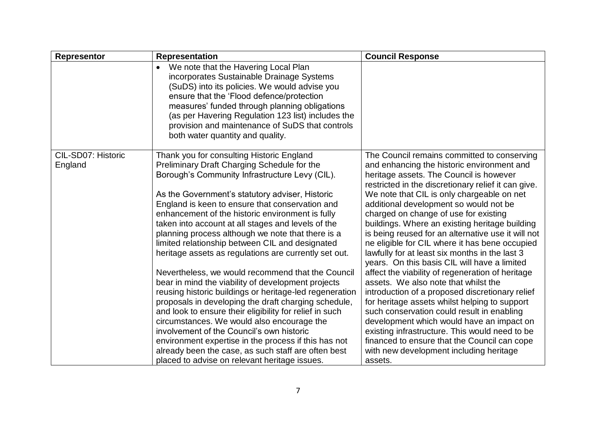| <b>Representor</b>            | <b>Representation</b>                                                                                                                                                                                                                                                                                                                                                                                                                                                                                                                                                                                                                                                                                                                                                                                                                                                                                                                                                   | <b>Council Response</b>                                                                                                                                                                                                                                                                                                                                                                                                                                                                                                                                                                                                                                                                                                                                                                                                                                                                                                                                                               |
|-------------------------------|-------------------------------------------------------------------------------------------------------------------------------------------------------------------------------------------------------------------------------------------------------------------------------------------------------------------------------------------------------------------------------------------------------------------------------------------------------------------------------------------------------------------------------------------------------------------------------------------------------------------------------------------------------------------------------------------------------------------------------------------------------------------------------------------------------------------------------------------------------------------------------------------------------------------------------------------------------------------------|---------------------------------------------------------------------------------------------------------------------------------------------------------------------------------------------------------------------------------------------------------------------------------------------------------------------------------------------------------------------------------------------------------------------------------------------------------------------------------------------------------------------------------------------------------------------------------------------------------------------------------------------------------------------------------------------------------------------------------------------------------------------------------------------------------------------------------------------------------------------------------------------------------------------------------------------------------------------------------------|
|                               | We note that the Havering Local Plan<br>$\bullet$<br>incorporates Sustainable Drainage Systems<br>(SuDS) into its policies. We would advise you<br>ensure that the 'Flood defence/protection<br>measures' funded through planning obligations<br>(as per Havering Regulation 123 list) includes the<br>provision and maintenance of SuDS that controls<br>both water quantity and quality.                                                                                                                                                                                                                                                                                                                                                                                                                                                                                                                                                                              |                                                                                                                                                                                                                                                                                                                                                                                                                                                                                                                                                                                                                                                                                                                                                                                                                                                                                                                                                                                       |
| CIL-SD07: Historic<br>England | Thank you for consulting Historic England<br>Preliminary Draft Charging Schedule for the<br>Borough's Community Infrastructure Levy (CIL).<br>As the Government's statutory adviser, Historic<br>England is keen to ensure that conservation and<br>enhancement of the historic environment is fully<br>taken into account at all stages and levels of the<br>planning process although we note that there is a<br>limited relationship between CIL and designated<br>heritage assets as regulations are currently set out.<br>Nevertheless, we would recommend that the Council<br>bear in mind the viability of development projects<br>reusing historic buildings or heritage-led regeneration<br>proposals in developing the draft charging schedule,<br>and look to ensure their eligibility for relief in such<br>circumstances. We would also encourage the<br>involvement of the Council's own historic<br>environment expertise in the process if this has not | The Council remains committed to conserving<br>and enhancing the historic environment and<br>heritage assets. The Council is however<br>restricted in the discretionary relief it can give.<br>We note that CIL is only chargeable on net<br>additional development so would not be<br>charged on change of use for existing<br>buildings. Where an existing heritage building<br>is being reused for an alternative use it will not<br>ne eligible for CIL where it has bene occupied<br>lawfully for at least six months in the last 3<br>years. On this basis CIL will have a limited<br>affect the viability of regeneration of heritage<br>assets. We also note that whilst the<br>introduction of a proposed discretionary relief<br>for heritage assets whilst helping to support<br>such conservation could result in enabling<br>development which would have an impact on<br>existing infrastructure. This would need to be<br>financed to ensure that the Council can cope |
|                               | already been the case, as such staff are often best<br>placed to advise on relevant heritage issues.                                                                                                                                                                                                                                                                                                                                                                                                                                                                                                                                                                                                                                                                                                                                                                                                                                                                    | with new development including heritage<br>assets.                                                                                                                                                                                                                                                                                                                                                                                                                                                                                                                                                                                                                                                                                                                                                                                                                                                                                                                                    |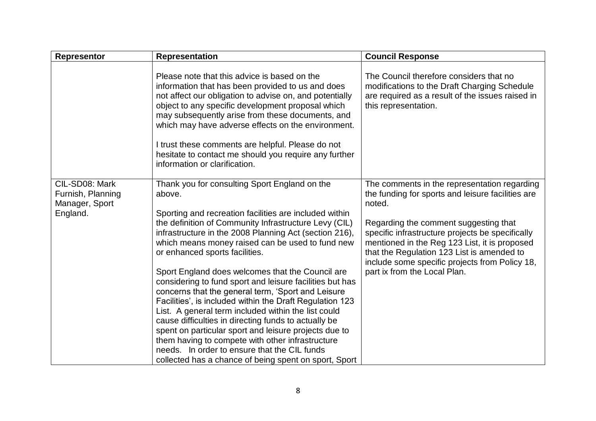| <b>Representor</b>                                                | <b>Representation</b>                                                                                                                                                                                                                                                                                                                                                                                                                                                                                                                                                                                                                                                                                                                                                                                                                                                                             | <b>Council Response</b>                                                                                                                                                                                                                                                                                                                                                                   |
|-------------------------------------------------------------------|---------------------------------------------------------------------------------------------------------------------------------------------------------------------------------------------------------------------------------------------------------------------------------------------------------------------------------------------------------------------------------------------------------------------------------------------------------------------------------------------------------------------------------------------------------------------------------------------------------------------------------------------------------------------------------------------------------------------------------------------------------------------------------------------------------------------------------------------------------------------------------------------------|-------------------------------------------------------------------------------------------------------------------------------------------------------------------------------------------------------------------------------------------------------------------------------------------------------------------------------------------------------------------------------------------|
|                                                                   | Please note that this advice is based on the<br>information that has been provided to us and does<br>not affect our obligation to advise on, and potentially<br>object to any specific development proposal which<br>may subsequently arise from these documents, and<br>which may have adverse effects on the environment.<br>I trust these comments are helpful. Please do not<br>hesitate to contact me should you require any further<br>information or clarification.                                                                                                                                                                                                                                                                                                                                                                                                                        | The Council therefore considers that no<br>modifications to the Draft Charging Schedule<br>are required as a result of the issues raised in<br>this representation.                                                                                                                                                                                                                       |
| CIL-SD08: Mark<br>Furnish, Planning<br>Manager, Sport<br>England. | Thank you for consulting Sport England on the<br>above.<br>Sporting and recreation facilities are included within<br>the definition of Community Infrastructure Levy (CIL)<br>infrastructure in the 2008 Planning Act (section 216),<br>which means money raised can be used to fund new<br>or enhanced sports facilities.<br>Sport England does welcomes that the Council are<br>considering to fund sport and leisure facilities but has<br>concerns that the general term, 'Sport and Leisure<br>Facilities', is included within the Draft Regulation 123<br>List. A general term included within the list could<br>cause difficulties in directing funds to actually be<br>spent on particular sport and leisure projects due to<br>them having to compete with other infrastructure<br>needs. In order to ensure that the CIL funds<br>collected has a chance of being spent on sport, Sport | The comments in the representation regarding<br>the funding for sports and leisure facilities are<br>noted.<br>Regarding the comment suggesting that<br>specific infrastructure projects be specifically<br>mentioned in the Reg 123 List, it is proposed<br>that the Regulation 123 List is amended to<br>include some specific projects from Policy 18,<br>part ix from the Local Plan. |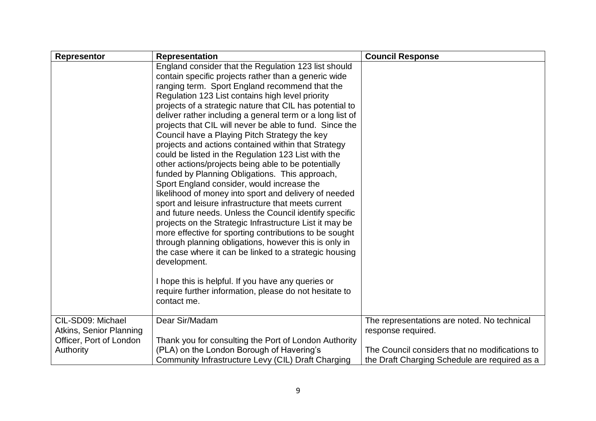| <b>Representor</b>                                 | <b>Representation</b>                                                                                                                                                                                                                                                                                                                                                                                                                                                                                                                                                                                                                                                                                                                                                                                                                                                                                                                                                                                                                                                                                                                                                                                                                                                                         | <b>Council Response</b>                        |
|----------------------------------------------------|-----------------------------------------------------------------------------------------------------------------------------------------------------------------------------------------------------------------------------------------------------------------------------------------------------------------------------------------------------------------------------------------------------------------------------------------------------------------------------------------------------------------------------------------------------------------------------------------------------------------------------------------------------------------------------------------------------------------------------------------------------------------------------------------------------------------------------------------------------------------------------------------------------------------------------------------------------------------------------------------------------------------------------------------------------------------------------------------------------------------------------------------------------------------------------------------------------------------------------------------------------------------------------------------------|------------------------------------------------|
|                                                    | England consider that the Regulation 123 list should<br>contain specific projects rather than a generic wide<br>ranging term. Sport England recommend that the<br>Regulation 123 List contains high level priority<br>projects of a strategic nature that CIL has potential to<br>deliver rather including a general term or a long list of<br>projects that CIL will never be able to fund. Since the<br>Council have a Playing Pitch Strategy the key<br>projects and actions contained within that Strategy<br>could be listed in the Regulation 123 List with the<br>other actions/projects being able to be potentially<br>funded by Planning Obligations. This approach,<br>Sport England consider, would increase the<br>likelihood of money into sport and delivery of needed<br>sport and leisure infrastructure that meets current<br>and future needs. Unless the Council identify specific<br>projects on the Strategic Infrastructure List it may be<br>more effective for sporting contributions to be sought<br>through planning obligations, however this is only in<br>the case where it can be linked to a strategic housing<br>development.<br>I hope this is helpful. If you have any queries or<br>require further information, please do not hesitate to<br>contact me. |                                                |
| CIL-SD09: Michael                                  | Dear Sir/Madam                                                                                                                                                                                                                                                                                                                                                                                                                                                                                                                                                                                                                                                                                                                                                                                                                                                                                                                                                                                                                                                                                                                                                                                                                                                                                | The representations are noted. No technical    |
| Atkins, Senior Planning<br>Officer, Port of London | Thank you for consulting the Port of London Authority                                                                                                                                                                                                                                                                                                                                                                                                                                                                                                                                                                                                                                                                                                                                                                                                                                                                                                                                                                                                                                                                                                                                                                                                                                         | response required.                             |
| Authority                                          | (PLA) on the London Borough of Havering's                                                                                                                                                                                                                                                                                                                                                                                                                                                                                                                                                                                                                                                                                                                                                                                                                                                                                                                                                                                                                                                                                                                                                                                                                                                     | The Council considers that no modifications to |
|                                                    | Community Infrastructure Levy (CIL) Draft Charging                                                                                                                                                                                                                                                                                                                                                                                                                                                                                                                                                                                                                                                                                                                                                                                                                                                                                                                                                                                                                                                                                                                                                                                                                                            | the Draft Charging Schedule are required as a  |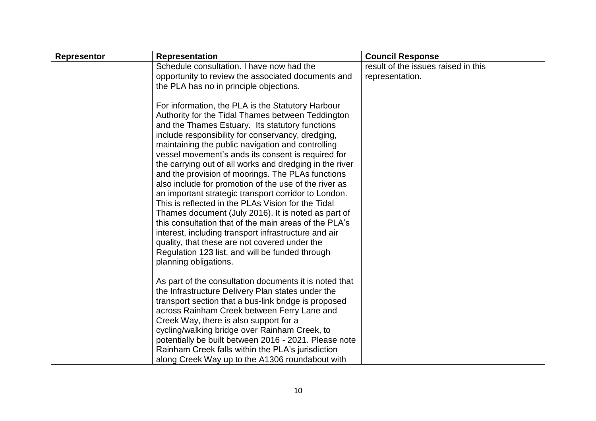| <b>Representor</b> | <b>Representation</b>                                                                                                                                                                                                                                                                                                                                                                                                                                                                                                                                                                                                                                                                                                                                                                                                                     | <b>Council Response</b>             |
|--------------------|-------------------------------------------------------------------------------------------------------------------------------------------------------------------------------------------------------------------------------------------------------------------------------------------------------------------------------------------------------------------------------------------------------------------------------------------------------------------------------------------------------------------------------------------------------------------------------------------------------------------------------------------------------------------------------------------------------------------------------------------------------------------------------------------------------------------------------------------|-------------------------------------|
|                    | Schedule consultation. I have now had the                                                                                                                                                                                                                                                                                                                                                                                                                                                                                                                                                                                                                                                                                                                                                                                                 | result of the issues raised in this |
|                    | opportunity to review the associated documents and                                                                                                                                                                                                                                                                                                                                                                                                                                                                                                                                                                                                                                                                                                                                                                                        | representation.                     |
|                    | the PLA has no in principle objections.                                                                                                                                                                                                                                                                                                                                                                                                                                                                                                                                                                                                                                                                                                                                                                                                   |                                     |
|                    | For information, the PLA is the Statutory Harbour<br>Authority for the Tidal Thames between Teddington<br>and the Thames Estuary. Its statutory functions<br>include responsibility for conservancy, dredging,<br>maintaining the public navigation and controlling<br>vessel movement's ands its consent is required for<br>the carrying out of all works and dredging in the river<br>and the provision of moorings. The PLAs functions<br>also include for promotion of the use of the river as<br>an important strategic transport corridor to London.<br>This is reflected in the PLAs Vision for the Tidal<br>Thames document (July 2016). It is noted as part of<br>this consultation that of the main areas of the PLA's<br>interest, including transport infrastructure and air<br>quality, that these are not covered under the |                                     |
|                    | Regulation 123 list, and will be funded through<br>planning obligations.                                                                                                                                                                                                                                                                                                                                                                                                                                                                                                                                                                                                                                                                                                                                                                  |                                     |
|                    |                                                                                                                                                                                                                                                                                                                                                                                                                                                                                                                                                                                                                                                                                                                                                                                                                                           |                                     |
|                    | As part of the consultation documents it is noted that<br>the Infrastructure Delivery Plan states under the<br>transport section that a bus-link bridge is proposed<br>across Rainham Creek between Ferry Lane and                                                                                                                                                                                                                                                                                                                                                                                                                                                                                                                                                                                                                        |                                     |
|                    | Creek Way, there is also support for a                                                                                                                                                                                                                                                                                                                                                                                                                                                                                                                                                                                                                                                                                                                                                                                                    |                                     |
|                    | cycling/walking bridge over Rainham Creek, to                                                                                                                                                                                                                                                                                                                                                                                                                                                                                                                                                                                                                                                                                                                                                                                             |                                     |
|                    | potentially be built between 2016 - 2021. Please note                                                                                                                                                                                                                                                                                                                                                                                                                                                                                                                                                                                                                                                                                                                                                                                     |                                     |
|                    | Rainham Creek falls within the PLA's jurisdiction                                                                                                                                                                                                                                                                                                                                                                                                                                                                                                                                                                                                                                                                                                                                                                                         |                                     |
|                    | along Creek Way up to the A1306 roundabout with                                                                                                                                                                                                                                                                                                                                                                                                                                                                                                                                                                                                                                                                                                                                                                                           |                                     |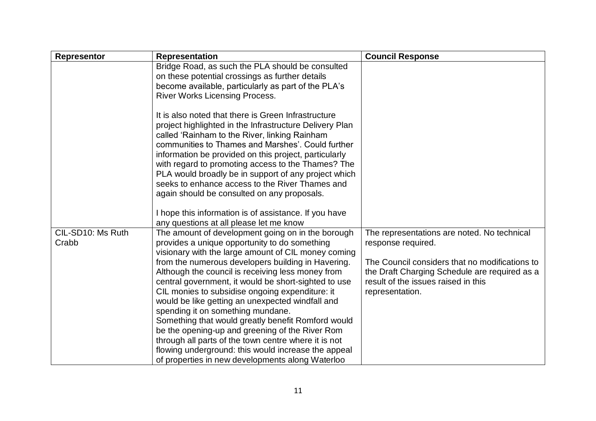| <b>Representor</b>         | <b>Representation</b>                                                                                                                                                                                                                                                                                                                                                                                                                                                                                                                                                                                                                                                                                                                                | <b>Council Response</b>                                                                                                                                                                                                        |
|----------------------------|------------------------------------------------------------------------------------------------------------------------------------------------------------------------------------------------------------------------------------------------------------------------------------------------------------------------------------------------------------------------------------------------------------------------------------------------------------------------------------------------------------------------------------------------------------------------------------------------------------------------------------------------------------------------------------------------------------------------------------------------------|--------------------------------------------------------------------------------------------------------------------------------------------------------------------------------------------------------------------------------|
|                            | Bridge Road, as such the PLA should be consulted<br>on these potential crossings as further details<br>become available, particularly as part of the PLA's<br><b>River Works Licensing Process.</b>                                                                                                                                                                                                                                                                                                                                                                                                                                                                                                                                                  |                                                                                                                                                                                                                                |
|                            | It is also noted that there is Green Infrastructure<br>project highlighted in the Infrastructure Delivery Plan<br>called 'Rainham to the River, linking Rainham<br>communities to Thames and Marshes'. Could further<br>information be provided on this project, particularly<br>with regard to promoting access to the Thames? The<br>PLA would broadly be in support of any project which<br>seeks to enhance access to the River Thames and<br>again should be consulted on any proposals.                                                                                                                                                                                                                                                        |                                                                                                                                                                                                                                |
|                            | I hope this information is of assistance. If you have<br>any questions at all please let me know                                                                                                                                                                                                                                                                                                                                                                                                                                                                                                                                                                                                                                                     |                                                                                                                                                                                                                                |
| CIL-SD10: Ms Ruth<br>Crabb | The amount of development going on in the borough<br>provides a unique opportunity to do something<br>visionary with the large amount of CIL money coming<br>from the numerous developers building in Havering.<br>Although the council is receiving less money from<br>central government, it would be short-sighted to use<br>CIL monies to subsidise ongoing expenditure: it<br>would be like getting an unexpected windfall and<br>spending it on something mundane.<br>Something that would greatly benefit Romford would<br>be the opening-up and greening of the River Rom<br>through all parts of the town centre where it is not<br>flowing underground: this would increase the appeal<br>of properties in new developments along Waterloo | The representations are noted. No technical<br>response required.<br>The Council considers that no modifications to<br>the Draft Charging Schedule are required as a<br>result of the issues raised in this<br>representation. |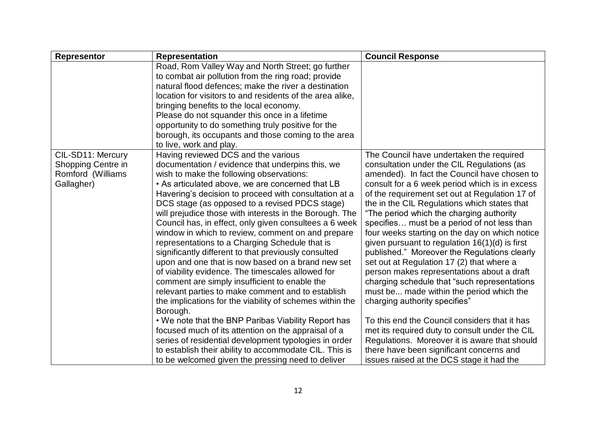| <b>Representor</b>                                                         | <b>Representation</b>                                                                                                                                                                                                                                                                                                                                                                                                                                                                                                                                                                                                                                                                                                                                                                                                                                                                                                                                                                                                                                                                                                                                                | <b>Council Response</b>                                                                                                                                                                                                                                                                                                                                                                                                                                                                                                                                                                                                                                                                                                                                                                                                                                                                                                                                                                                           |
|----------------------------------------------------------------------------|----------------------------------------------------------------------------------------------------------------------------------------------------------------------------------------------------------------------------------------------------------------------------------------------------------------------------------------------------------------------------------------------------------------------------------------------------------------------------------------------------------------------------------------------------------------------------------------------------------------------------------------------------------------------------------------------------------------------------------------------------------------------------------------------------------------------------------------------------------------------------------------------------------------------------------------------------------------------------------------------------------------------------------------------------------------------------------------------------------------------------------------------------------------------|-------------------------------------------------------------------------------------------------------------------------------------------------------------------------------------------------------------------------------------------------------------------------------------------------------------------------------------------------------------------------------------------------------------------------------------------------------------------------------------------------------------------------------------------------------------------------------------------------------------------------------------------------------------------------------------------------------------------------------------------------------------------------------------------------------------------------------------------------------------------------------------------------------------------------------------------------------------------------------------------------------------------|
|                                                                            | Road, Rom Valley Way and North Street; go further<br>to combat air pollution from the ring road; provide<br>natural flood defences; make the river a destination<br>location for visitors to and residents of the area alike,<br>bringing benefits to the local economy.<br>Please do not squander this once in a lifetime<br>opportunity to do something truly positive for the<br>borough, its occupants and those coming to the area<br>to live, work and play.                                                                                                                                                                                                                                                                                                                                                                                                                                                                                                                                                                                                                                                                                                   |                                                                                                                                                                                                                                                                                                                                                                                                                                                                                                                                                                                                                                                                                                                                                                                                                                                                                                                                                                                                                   |
| CIL-SD11: Mercury<br>Shopping Centre in<br>Romford (Williams<br>Gallagher) | Having reviewed DCS and the various<br>documentation / evidence that underpins this, we<br>wish to make the following observations:<br>• As articulated above, we are concerned that LB<br>Havering's decision to proceed with consultation at a<br>DCS stage (as opposed to a revised PDCS stage)<br>will prejudice those with interests in the Borough. The<br>Council has, in effect, only given consultees a 6 week<br>window in which to review, comment on and prepare<br>representations to a Charging Schedule that is<br>significantly different to that previously consulted<br>upon and one that is now based on a brand new set<br>of viability evidence. The timescales allowed for<br>comment are simply insufficient to enable the<br>relevant parties to make comment and to establish<br>the implications for the viability of schemes within the<br>Borough.<br>. We note that the BNP Paribas Viability Report has<br>focused much of its attention on the appraisal of a<br>series of residential development typologies in order<br>to establish their ability to accommodate CIL. This is<br>to be welcomed given the pressing need to deliver | The Council have undertaken the required<br>consultation under the CIL Regulations (as<br>amended). In fact the Council have chosen to<br>consult for a 6 week period which is in excess<br>of the requirement set out at Regulation 17 of<br>the in the CIL Regulations which states that<br>"The period which the charging authority<br>specifies must be a period of not less than<br>four weeks starting on the day on which notice<br>given pursuant to regulation $16(1)(d)$ is first<br>published." Moreover the Regulations clearly<br>set out at Regulation 17 (2) that where a<br>person makes representations about a draft<br>charging schedule that "such representations"<br>must be made within the period which the<br>charging authority specifies"<br>To this end the Council considers that it has<br>met its required duty to consult under the CIL<br>Regulations. Moreover it is aware that should<br>there have been significant concerns and<br>issues raised at the DCS stage it had the |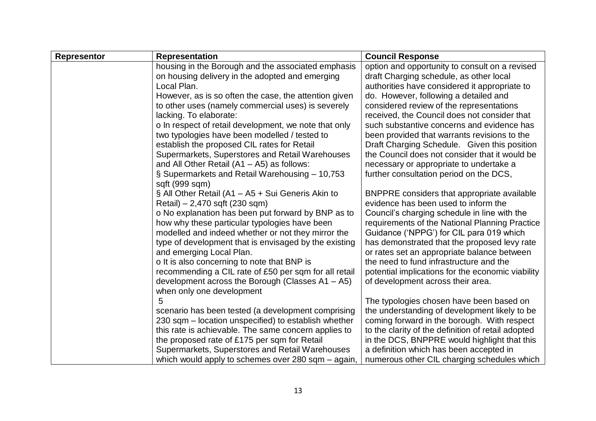| <b>Representor</b>                                 | <b>Representation</b>                                 | <b>Council Response</b>                            |  |
|----------------------------------------------------|-------------------------------------------------------|----------------------------------------------------|--|
|                                                    | housing in the Borough and the associated emphasis    | option and opportunity to consult on a revised     |  |
|                                                    | on housing delivery in the adopted and emerging       | draft Charging schedule, as other local            |  |
|                                                    | Local Plan.                                           | authorities have considered it appropriate to      |  |
|                                                    | However, as is so often the case, the attention given | do. However, following a detailed and              |  |
|                                                    | to other uses (namely commercial uses) is severely    | considered review of the representations           |  |
|                                                    | lacking. To elaborate:                                | received, the Council does not consider that       |  |
|                                                    | o In respect of retail development, we note that only | such substantive concerns and evidence has         |  |
|                                                    | two typologies have been modelled / tested to         | been provided that warrants revisions to the       |  |
|                                                    | establish the proposed CIL rates for Retail           | Draft Charging Schedule. Given this position       |  |
|                                                    | Supermarkets, Superstores and Retail Warehouses       | the Council does not consider that it would be     |  |
|                                                    | and All Other Retail $(A1 - A5)$ as follows:          | necessary or appropriate to undertake a            |  |
|                                                    | § Supermarkets and Retail Warehousing - 10,753        | further consultation period on the DCS,            |  |
|                                                    | sqft (999 sqm)                                        |                                                    |  |
|                                                    | § All Other Retail (A1 – A5 + Sui Generis Akin to     | <b>BNPPRE</b> considers that appropriate available |  |
|                                                    | Retail) – 2,470 sqft (230 sqm)                        | evidence has been used to inform the               |  |
| o No explanation has been put forward by BNP as to |                                                       | Council's charging schedule in line with the       |  |
|                                                    | how why these particular typologies have been         | requirements of the National Planning Practice     |  |
|                                                    | modelled and indeed whether or not they mirror the    | Guidance ('NPPG') for CIL para 019 which           |  |
|                                                    | type of development that is envisaged by the existing | has demonstrated that the proposed levy rate       |  |
|                                                    | and emerging Local Plan.                              | or rates set an appropriate balance between        |  |
|                                                    | o It is also concerning to note that BNP is           | the need to fund infrastructure and the            |  |
|                                                    | recommending a CIL rate of £50 per sqm for all retail | potential implications for the economic viability  |  |
|                                                    | development across the Borough (Classes $A1 - A5$ )   | of development across their area.                  |  |
|                                                    | when only one development                             |                                                    |  |
|                                                    | 5                                                     | The typologies chosen have been based on           |  |
|                                                    | scenario has been tested (a development comprising    | the understanding of development likely to be      |  |
|                                                    | 230 sqm – location unspecified) to establish whether  | coming forward in the borough. With respect        |  |
|                                                    | this rate is achievable. The same concern applies to  | to the clarity of the definition of retail adopted |  |
|                                                    | the proposed rate of £175 per sqm for Retail          | in the DCS, BNPPRE would highlight that this       |  |
|                                                    | Supermarkets, Superstores and Retail Warehouses       | a definition which has been accepted in            |  |
|                                                    | which would apply to schemes over 280 sqm – again,    | numerous other CIL charging schedules which        |  |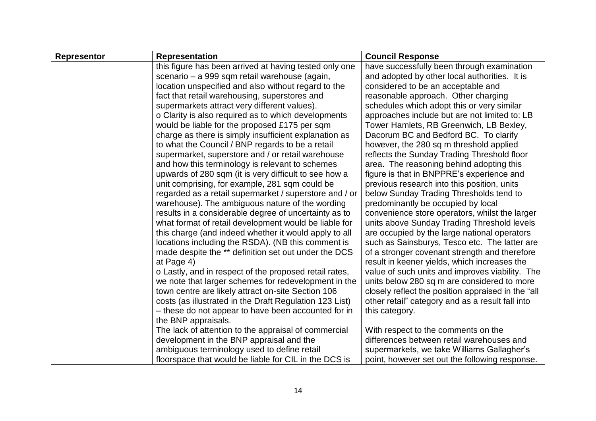| <b>Representor</b>                                                                                                                                                 | <b>Representation</b>                                   | <b>Council Response</b>                            |  |
|--------------------------------------------------------------------------------------------------------------------------------------------------------------------|---------------------------------------------------------|----------------------------------------------------|--|
|                                                                                                                                                                    | this figure has been arrived at having tested only one  | have successfully been through examination         |  |
|                                                                                                                                                                    | scenario – a 999 sqm retail warehouse (again,           | and adopted by other local authorities. It is      |  |
|                                                                                                                                                                    | location unspecified and also without regard to the     | considered to be an acceptable and                 |  |
|                                                                                                                                                                    | fact that retail warehousing, superstores and           | reasonable approach. Other charging                |  |
|                                                                                                                                                                    | supermarkets attract very different values).            | schedules which adopt this or very similar         |  |
|                                                                                                                                                                    | o Clarity is also required as to which developments     | approaches include but are not limited to: LB      |  |
|                                                                                                                                                                    | would be liable for the proposed £175 per sqm           | Tower Hamlets, RB Greenwich, LB Bexley,            |  |
|                                                                                                                                                                    | charge as there is simply insufficient explanation as   | Dacorum BC and Bedford BC. To clarify              |  |
|                                                                                                                                                                    | to what the Council / BNP regards to be a retail        | however, the 280 sq m threshold applied            |  |
|                                                                                                                                                                    | supermarket, superstore and / or retail warehouse       | reflects the Sunday Trading Threshold floor        |  |
|                                                                                                                                                                    | and how this terminology is relevant to schemes         | area. The reasoning behind adopting this           |  |
|                                                                                                                                                                    | upwards of 280 sqm (it is very difficult to see how a   | figure is that in BNPPRE's experience and          |  |
|                                                                                                                                                                    | unit comprising, for example, 281 sqm could be          | previous research into this position, units        |  |
| regarded as a retail supermarket / superstore and / or<br>warehouse). The ambiguous nature of the wording<br>results in a considerable degree of uncertainty as to |                                                         | below Sunday Trading Thresholds tend to            |  |
|                                                                                                                                                                    |                                                         | predominantly be occupied by local                 |  |
|                                                                                                                                                                    |                                                         | convenience store operators, whilst the larger     |  |
|                                                                                                                                                                    | what format of retail development would be liable for   | units above Sunday Trading Threshold levels        |  |
|                                                                                                                                                                    | this charge (and indeed whether it would apply to all   | are occupied by the large national operators       |  |
|                                                                                                                                                                    | locations including the RSDA). (NB this comment is      | such as Sainsburys, Tesco etc. The latter are      |  |
|                                                                                                                                                                    | made despite the ** definition set out under the DCS    | of a stronger covenant strength and therefore      |  |
|                                                                                                                                                                    | at Page 4)                                              | result in keener yields, which increases the       |  |
|                                                                                                                                                                    | o Lastly, and in respect of the proposed retail rates,  | value of such units and improves viability. The    |  |
|                                                                                                                                                                    | we note that larger schemes for redevelopment in the    | units below 280 sq m are considered to more        |  |
|                                                                                                                                                                    | town centre are likely attract on-site Section 106      | closely reflect the position appraised in the "all |  |
|                                                                                                                                                                    | costs (as illustrated in the Draft Regulation 123 List) | other retail" category and as a result fall into   |  |
|                                                                                                                                                                    | - these do not appear to have been accounted for in     | this category.                                     |  |
|                                                                                                                                                                    | the BNP appraisals.                                     |                                                    |  |
|                                                                                                                                                                    | The lack of attention to the appraisal of commercial    | With respect to the comments on the                |  |
|                                                                                                                                                                    | development in the BNP appraisal and the                | differences between retail warehouses and          |  |
|                                                                                                                                                                    | ambiguous terminology used to define retail             | supermarkets, we take Williams Gallagher's         |  |
|                                                                                                                                                                    | floorspace that would be liable for CIL in the DCS is   | point, however set out the following response.     |  |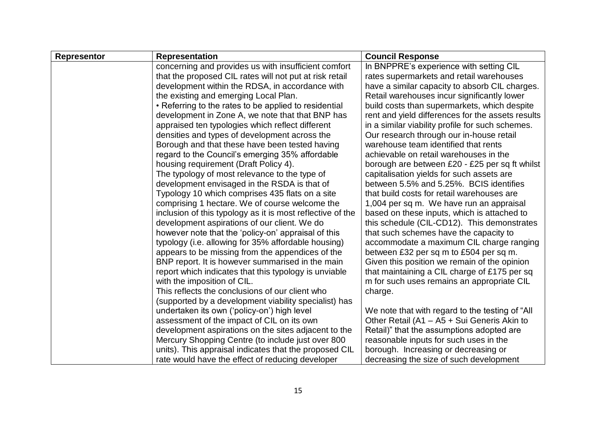| <b>Representor</b>                                                                                           | <b>Representation</b>                                   | <b>Council Response</b>                           |
|--------------------------------------------------------------------------------------------------------------|---------------------------------------------------------|---------------------------------------------------|
|                                                                                                              | concerning and provides us with insufficient comfort    | In BNPPRE's experience with setting CIL           |
|                                                                                                              | that the proposed CIL rates will not put at risk retail | rates supermarkets and retail warehouses          |
|                                                                                                              | development within the RDSA, in accordance with         | have a similar capacity to absorb CIL charges.    |
|                                                                                                              | the existing and emerging Local Plan.                   | Retail warehouses incur significantly lower       |
|                                                                                                              | • Referring to the rates to be applied to residential   | build costs than supermarkets, which despite      |
|                                                                                                              | development in Zone A, we note that that BNP has        | rent and yield differences for the assets results |
|                                                                                                              | appraised ten typologies which reflect different        | in a similar viability profile for such schemes.  |
|                                                                                                              | densities and types of development across the           | Our research through our in-house retail          |
|                                                                                                              | Borough and that these have been tested having          | warehouse team identified that rents              |
|                                                                                                              | regard to the Council's emerging 35% affordable         | achievable on retail warehouses in the            |
|                                                                                                              | housing requirement (Draft Policy 4).                   | borough are between £20 - £25 per sq ft whilst    |
|                                                                                                              | The typology of most relevance to the type of           | capitalisation yields for such assets are         |
|                                                                                                              | development envisaged in the RSDA is that of            | between 5.5% and 5.25%. BCIS identifies           |
|                                                                                                              | Typology 10 which comprises 435 flats on a site         | that build costs for retail warehouses are        |
| comprising 1 hectare. We of course welcome the<br>inclusion of this typology as it is most reflective of the |                                                         | 1,004 per sq m. We have run an appraisal          |
|                                                                                                              |                                                         | based on these inputs, which is attached to       |
|                                                                                                              | development aspirations of our client. We do            | this schedule (CIL-CD12). This demonstrates       |
|                                                                                                              | however note that the 'policy-on' appraisal of this     | that such schemes have the capacity to            |
|                                                                                                              | typology (i.e. allowing for 35% affordable housing)     | accommodate a maximum CIL charge ranging          |
|                                                                                                              | appears to be missing from the appendices of the        | between £32 per sq m to £504 per sq m.            |
|                                                                                                              | BNP report. It is however summarised in the main        | Given this position we remain of the opinion      |
|                                                                                                              | report which indicates that this typology is unviable   | that maintaining a CIL charge of £175 per sq      |
|                                                                                                              | with the imposition of CIL.                             | m for such uses remains an appropriate CIL        |
|                                                                                                              | This reflects the conclusions of our client who         | charge.                                           |
|                                                                                                              | (supported by a development viability specialist) has   |                                                   |
|                                                                                                              | undertaken its own ('policy-on') high level             | We note that with regard to the testing of "All   |
|                                                                                                              | assessment of the impact of CIL on its own              | Other Retail (A1 - A5 + Sui Generis Akin to       |
|                                                                                                              | development aspirations on the sites adjacent to the    | Retail)" that the assumptions adopted are         |
|                                                                                                              | Mercury Shopping Centre (to include just over 800       | reasonable inputs for such uses in the            |
|                                                                                                              | units). This appraisal indicates that the proposed CIL  | borough. Increasing or decreasing or              |
|                                                                                                              | rate would have the effect of reducing developer        | decreasing the size of such development           |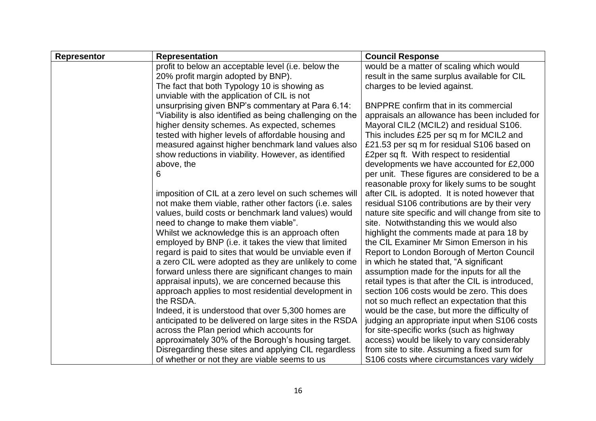| <b>Representor</b>                                   | <b>Representation</b>                                     | <b>Council Response</b>                           |  |
|------------------------------------------------------|-----------------------------------------------------------|---------------------------------------------------|--|
|                                                      | profit to below an acceptable level (i.e. below the       | would be a matter of scaling which would          |  |
|                                                      | 20% profit margin adopted by BNP).                        | result in the same surplus available for CIL      |  |
|                                                      | The fact that both Typology 10 is showing as              | charges to be levied against.                     |  |
|                                                      | unviable with the application of CIL is not               |                                                   |  |
|                                                      | unsurprising given BNP's commentary at Para 6.14:         | <b>BNPPRE</b> confirm that in its commercial      |  |
|                                                      | "Viability is also identified as being challenging on the | appraisals an allowance has been included for     |  |
|                                                      | higher density schemes. As expected, schemes              | Mayoral CIL2 (MCIL2) and residual S106.           |  |
|                                                      | tested with higher levels of affordable housing and       | This includes £25 per sq m for MCIL2 and          |  |
|                                                      | measured against higher benchmark land values also        | £21.53 per sq m for residual S106 based on        |  |
|                                                      | show reductions in viability. However, as identified      | £2per sq ft. With respect to residential          |  |
|                                                      | above, the                                                | developments we have accounted for £2,000         |  |
|                                                      | 6                                                         | per unit. These figures are considered to be a    |  |
|                                                      |                                                           | reasonable proxy for likely sums to be sought     |  |
|                                                      | imposition of CIL at a zero level on such schemes will    | after CIL is adopted. It is noted however that    |  |
|                                                      | not make them viable, rather other factors (i.e. sales    | residual S106 contributions are by their very     |  |
| values, build costs or benchmark land values) would  |                                                           | nature site specific and will change from site to |  |
|                                                      | need to change to make them viable".                      | site. Notwithstanding this we would also          |  |
|                                                      | Whilst we acknowledge this is an approach often           | highlight the comments made at para 18 by         |  |
|                                                      | employed by BNP (i.e. it takes the view that limited      | the CIL Examiner Mr Simon Emerson in his          |  |
|                                                      | regard is paid to sites that would be unviable even if    | Report to London Borough of Merton Council        |  |
| a zero CIL were adopted as they are unlikely to come |                                                           | in which he stated that, "A significant"          |  |
|                                                      | forward unless there are significant changes to main      | assumption made for the inputs for all the        |  |
|                                                      | appraisal inputs), we are concerned because this          | retail types is that after the CIL is introduced, |  |
|                                                      | approach applies to most residential development in       | section 106 costs would be zero. This does        |  |
|                                                      | the RSDA.                                                 | not so much reflect an expectation that this      |  |
|                                                      | Indeed, it is understood that over 5,300 homes are        | would be the case, but more the difficulty of     |  |
|                                                      | anticipated to be delivered on large sites in the RSDA    | judging an appropriate input when S106 costs      |  |
|                                                      | across the Plan period which accounts for                 | for site-specific works (such as highway          |  |
|                                                      | approximately 30% of the Borough's housing target.        | access) would be likely to vary considerably      |  |
|                                                      | Disregarding these sites and applying CIL regardless      | from site to site. Assuming a fixed sum for       |  |
|                                                      | of whether or not they are viable seems to us             | S106 costs where circumstances vary widely        |  |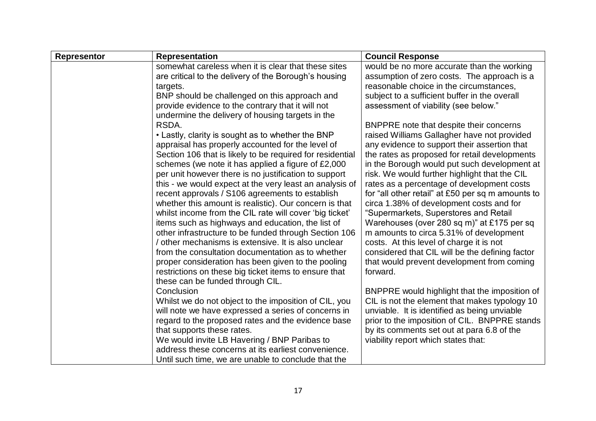| <b>Representor</b> | <b>Representation</b>                                                                                        | <b>Council Response</b>                                                             |  |
|--------------------|--------------------------------------------------------------------------------------------------------------|-------------------------------------------------------------------------------------|--|
|                    | somewhat careless when it is clear that these sites                                                          | would be no more accurate than the working                                          |  |
|                    | are critical to the delivery of the Borough's housing                                                        | assumption of zero costs. The approach is a                                         |  |
|                    | targets.                                                                                                     | reasonable choice in the circumstances,                                             |  |
|                    | BNP should be challenged on this approach and                                                                | subject to a sufficient buffer in the overall                                       |  |
|                    | provide evidence to the contrary that it will not                                                            | assessment of viability (see below."                                                |  |
|                    | undermine the delivery of housing targets in the                                                             |                                                                                     |  |
|                    | RSDA.                                                                                                        | BNPPRE note that despite their concerns                                             |  |
|                    | • Lastly, clarity is sought as to whether the BNP                                                            | raised Williams Gallagher have not provided                                         |  |
|                    | appraisal has properly accounted for the level of                                                            | any evidence to support their assertion that                                        |  |
|                    | Section 106 that is likely to be required for residential                                                    | the rates as proposed for retail developments                                       |  |
|                    | schemes (we note it has applied a figure of £2,000                                                           | in the Borough would put such development at                                        |  |
|                    | per unit however there is no justification to support                                                        | risk. We would further highlight that the CIL                                       |  |
|                    | this - we would expect at the very least an analysis of                                                      | rates as a percentage of development costs                                          |  |
|                    | recent approvals / S106 agreements to establish                                                              | for "all other retail" at £50 per sq m amounts to                                   |  |
|                    | whether this amount is realistic). Our concern is that                                                       | circa 1.38% of development costs and for                                            |  |
|                    | whilst income from the CIL rate will cover 'big ticket'<br>items such as highways and education, the list of | "Supermarkets, Superstores and Retail<br>Warehouses (over 280 sq m)" at £175 per sq |  |
|                    | other infrastructure to be funded through Section 106                                                        | m amounts to circa 5.31% of development                                             |  |
|                    | / other mechanisms is extensive. It is also unclear                                                          | costs. At this level of charge it is not                                            |  |
|                    | from the consultation documentation as to whether                                                            | considered that CIL will be the defining factor                                     |  |
|                    | proper consideration has been given to the pooling                                                           | that would prevent development from coming                                          |  |
|                    | restrictions on these big ticket items to ensure that                                                        | forward.                                                                            |  |
|                    | these can be funded through CIL.                                                                             |                                                                                     |  |
|                    | Conclusion                                                                                                   | BNPPRE would highlight that the imposition of                                       |  |
|                    | Whilst we do not object to the imposition of CIL, you                                                        | CIL is not the element that makes typology 10                                       |  |
|                    | will note we have expressed a series of concerns in                                                          | unviable. It is identified as being unviable                                        |  |
|                    | regard to the proposed rates and the evidence base                                                           | prior to the imposition of CIL. BNPPRE stands                                       |  |
|                    | that supports these rates.                                                                                   | by its comments set out at para 6.8 of the                                          |  |
|                    | We would invite LB Havering / BNP Paribas to                                                                 | viability report which states that:                                                 |  |
|                    | address these concerns at its earliest convenience.                                                          |                                                                                     |  |
|                    | Until such time, we are unable to conclude that the                                                          |                                                                                     |  |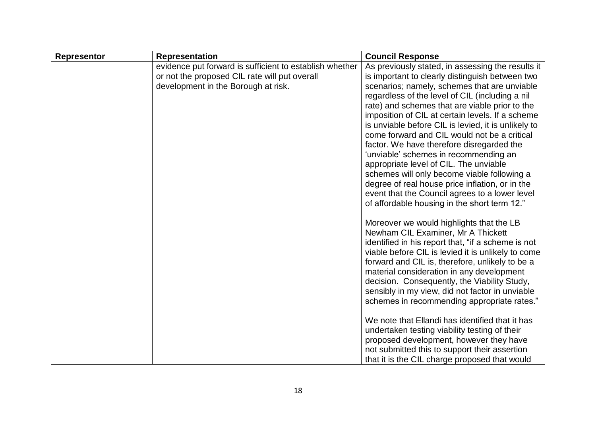| <b>Representor</b> | <b>Representation</b>                                                                                                                           | <b>Council Response</b>                                                                                                                                                                                                                                                                                                                                                                                                                                                                                                                                                                                                                                                                                                                                  |  |
|--------------------|-------------------------------------------------------------------------------------------------------------------------------------------------|----------------------------------------------------------------------------------------------------------------------------------------------------------------------------------------------------------------------------------------------------------------------------------------------------------------------------------------------------------------------------------------------------------------------------------------------------------------------------------------------------------------------------------------------------------------------------------------------------------------------------------------------------------------------------------------------------------------------------------------------------------|--|
|                    | evidence put forward is sufficient to establish whether<br>or not the proposed CIL rate will put overall<br>development in the Borough at risk. | As previously stated, in assessing the results it<br>is important to clearly distinguish between two<br>scenarios; namely, schemes that are unviable<br>regardless of the level of CIL (including a nil<br>rate) and schemes that are viable prior to the<br>imposition of CIL at certain levels. If a scheme<br>is unviable before CIL is levied, it is unlikely to<br>come forward and CIL would not be a critical<br>factor. We have therefore disregarded the<br>'unviable' schemes in recommending an<br>appropriate level of CIL. The unviable<br>schemes will only become viable following a<br>degree of real house price inflation, or in the<br>event that the Council agrees to a lower level<br>of affordable housing in the short term 12." |  |
|                    |                                                                                                                                                 | Moreover we would highlights that the LB<br>Newham CIL Examiner, Mr A Thickett<br>identified in his report that, "if a scheme is not<br>viable before CIL is levied it is unlikely to come<br>forward and CIL is, therefore, unlikely to be a<br>material consideration in any development<br>decision. Consequently, the Viability Study,<br>sensibly in my view, did not factor in unviable<br>schemes in recommending appropriate rates."<br>We note that Ellandi has identified that it has<br>undertaken testing viability testing of their<br>proposed development, however they have<br>not submitted this to support their assertion                                                                                                             |  |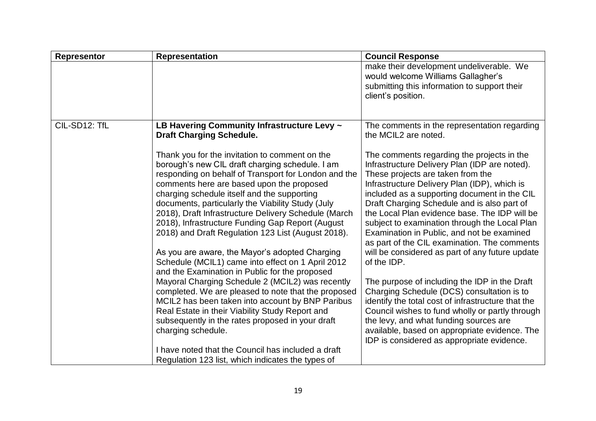| Representor   | <b>Representation</b>                                                                                                                                                                                                                                                                                                                                                                                                                                                                                                                                                                                                                                                                                                                                                                                                                                                                                                             | <b>Council Response</b>                                                                                                                                                                                                                                                                                                                                                                                                                                                                                                                                                                                                                                                                                                                                                                                                                                                                            |  |
|---------------|-----------------------------------------------------------------------------------------------------------------------------------------------------------------------------------------------------------------------------------------------------------------------------------------------------------------------------------------------------------------------------------------------------------------------------------------------------------------------------------------------------------------------------------------------------------------------------------------------------------------------------------------------------------------------------------------------------------------------------------------------------------------------------------------------------------------------------------------------------------------------------------------------------------------------------------|----------------------------------------------------------------------------------------------------------------------------------------------------------------------------------------------------------------------------------------------------------------------------------------------------------------------------------------------------------------------------------------------------------------------------------------------------------------------------------------------------------------------------------------------------------------------------------------------------------------------------------------------------------------------------------------------------------------------------------------------------------------------------------------------------------------------------------------------------------------------------------------------------|--|
|               |                                                                                                                                                                                                                                                                                                                                                                                                                                                                                                                                                                                                                                                                                                                                                                                                                                                                                                                                   | make their development undeliverable. We<br>would welcome Williams Gallagher's<br>submitting this information to support their<br>client's position.                                                                                                                                                                                                                                                                                                                                                                                                                                                                                                                                                                                                                                                                                                                                               |  |
|               |                                                                                                                                                                                                                                                                                                                                                                                                                                                                                                                                                                                                                                                                                                                                                                                                                                                                                                                                   |                                                                                                                                                                                                                                                                                                                                                                                                                                                                                                                                                                                                                                                                                                                                                                                                                                                                                                    |  |
| CIL-SD12: TfL | LB Havering Community Infrastructure Levy ~<br><b>Draft Charging Schedule.</b>                                                                                                                                                                                                                                                                                                                                                                                                                                                                                                                                                                                                                                                                                                                                                                                                                                                    | The comments in the representation regarding<br>the MCIL2 are noted.                                                                                                                                                                                                                                                                                                                                                                                                                                                                                                                                                                                                                                                                                                                                                                                                                               |  |
|               | Thank you for the invitation to comment on the<br>borough's new CIL draft charging schedule. I am<br>responding on behalf of Transport for London and the<br>comments here are based upon the proposed<br>charging schedule itself and the supporting<br>documents, particularly the Viability Study (July<br>2018), Draft Infrastructure Delivery Schedule (March<br>2018), Infrastructure Funding Gap Report (August<br>2018) and Draft Regulation 123 List (August 2018).<br>As you are aware, the Mayor's adopted Charging<br>Schedule (MCIL1) came into effect on 1 April 2012<br>and the Examination in Public for the proposed<br>Mayoral Charging Schedule 2 (MCIL2) was recently<br>completed. We are pleased to note that the proposed<br>MCIL2 has been taken into account by BNP Paribus<br>Real Estate in their Viability Study Report and<br>subsequently in the rates proposed in your draft<br>charging schedule. | The comments regarding the projects in the<br>Infrastructure Delivery Plan (IDP are noted).<br>These projects are taken from the<br>Infrastructure Delivery Plan (IDP), which is<br>included as a supporting document in the CIL<br>Draft Charging Schedule and is also part of<br>the Local Plan evidence base. The IDP will be<br>subject to examination through the Local Plan<br>Examination in Public, and not be examined<br>as part of the CIL examination. The comments<br>will be considered as part of any future update<br>of the IDP.<br>The purpose of including the IDP in the Draft<br>Charging Schedule (DCS) consultation is to<br>identify the total cost of infrastructure that the<br>Council wishes to fund wholly or partly through<br>the levy, and what funding sources are<br>available, based on appropriate evidence. The<br>IDP is considered as appropriate evidence. |  |
|               | I have noted that the Council has included a draft<br>Regulation 123 list, which indicates the types of                                                                                                                                                                                                                                                                                                                                                                                                                                                                                                                                                                                                                                                                                                                                                                                                                           |                                                                                                                                                                                                                                                                                                                                                                                                                                                                                                                                                                                                                                                                                                                                                                                                                                                                                                    |  |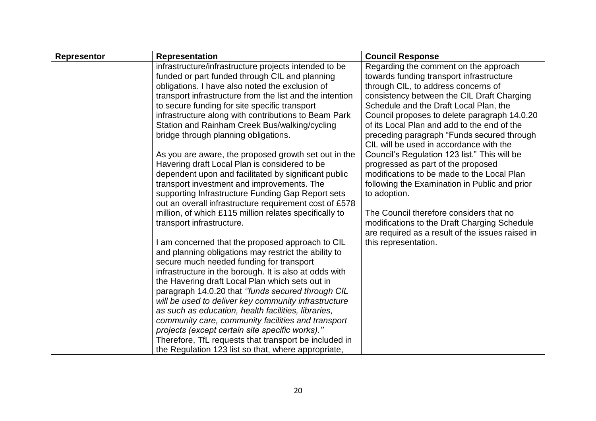| <b>Representor</b> | <b>Representation</b>                                    | <b>Council Response</b>                                                               |  |
|--------------------|----------------------------------------------------------|---------------------------------------------------------------------------------------|--|
|                    | infrastructure/infrastructure projects intended to be    | Regarding the comment on the approach                                                 |  |
|                    | funded or part funded through CIL and planning           | towards funding transport infrastructure                                              |  |
|                    | obligations. I have also noted the exclusion of          | through CIL, to address concerns of                                                   |  |
|                    | transport infrastructure from the list and the intention | consistency between the CIL Draft Charging                                            |  |
|                    | to secure funding for site specific transport            | Schedule and the Draft Local Plan, the                                                |  |
|                    | infrastructure along with contributions to Beam Park     | Council proposes to delete paragraph 14.0.20                                          |  |
|                    | Station and Rainham Creek Bus/walking/cycling            | of its Local Plan and add to the end of the                                           |  |
|                    | bridge through planning obligations.                     | preceding paragraph "Funds secured through<br>CIL will be used in accordance with the |  |
|                    | As you are aware, the proposed growth set out in the     | Council's Regulation 123 list." This will be                                          |  |
|                    | Havering draft Local Plan is considered to be            | progressed as part of the proposed                                                    |  |
|                    | dependent upon and facilitated by significant public     | modifications to be made to the Local Plan                                            |  |
|                    | transport investment and improvements. The               | following the Examination in Public and prior                                         |  |
|                    | supporting Infrastructure Funding Gap Report sets        | to adoption.                                                                          |  |
|                    | out an overall infrastructure requirement cost of £578   |                                                                                       |  |
|                    | million, of which £115 million relates specifically to   | The Council therefore considers that no                                               |  |
|                    | transport infrastructure.                                | modifications to the Draft Charging Schedule                                          |  |
|                    |                                                          | are required as a result of the issues raised in                                      |  |
|                    | I am concerned that the proposed approach to CIL         | this representation.                                                                  |  |
|                    | and planning obligations may restrict the ability to     |                                                                                       |  |
|                    | secure much needed funding for transport                 |                                                                                       |  |
|                    | infrastructure in the borough. It is also at odds with   |                                                                                       |  |
|                    | the Havering draft Local Plan which sets out in          |                                                                                       |  |
|                    | paragraph 14.0.20 that "funds secured through CIL        |                                                                                       |  |
|                    | will be used to deliver key community infrastructure     |                                                                                       |  |
|                    | as such as education, health facilities, libraries,      |                                                                                       |  |
|                    | community care, community facilities and transport       |                                                                                       |  |
|                    | projects (except certain site specific works)."          |                                                                                       |  |
|                    | Therefore, TfL requests that transport be included in    |                                                                                       |  |
|                    | the Regulation 123 list so that, where appropriate,      |                                                                                       |  |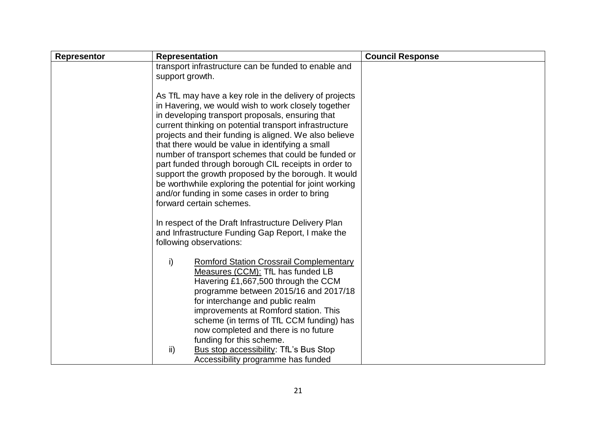| <b>Representor</b> | <b>Representation</b>                                                                                                                                                                                                                                                                                                                                                                                                                                                                                                                                                                                                                                     | <b>Council Response</b> |
|--------------------|-----------------------------------------------------------------------------------------------------------------------------------------------------------------------------------------------------------------------------------------------------------------------------------------------------------------------------------------------------------------------------------------------------------------------------------------------------------------------------------------------------------------------------------------------------------------------------------------------------------------------------------------------------------|-------------------------|
|                    | transport infrastructure can be funded to enable and<br>support growth.                                                                                                                                                                                                                                                                                                                                                                                                                                                                                                                                                                                   |                         |
|                    | As TfL may have a key role in the delivery of projects<br>in Havering, we would wish to work closely together<br>in developing transport proposals, ensuring that<br>current thinking on potential transport infrastructure<br>projects and their funding is aligned. We also believe<br>that there would be value in identifying a small<br>number of transport schemes that could be funded or<br>part funded through borough CIL receipts in order to<br>support the growth proposed by the borough. It would<br>be worthwhile exploring the potential for joint working<br>and/or funding in some cases in order to bring<br>forward certain schemes. |                         |
|                    | In respect of the Draft Infrastructure Delivery Plan<br>and Infrastructure Funding Gap Report, I make the<br>following observations:                                                                                                                                                                                                                                                                                                                                                                                                                                                                                                                      |                         |
|                    | $\mathsf{i}$<br><b>Romford Station Crossrail Complementary</b><br>Measures (CCM): TfL has funded LB<br>Havering £1,667,500 through the CCM<br>programme between 2015/16 and 2017/18<br>for interchange and public realm<br>improvements at Romford station. This<br>scheme (in terms of TfL CCM funding) has<br>now completed and there is no future<br>funding for this scheme.                                                                                                                                                                                                                                                                          |                         |
|                    | $\mathsf{ii}$<br>Bus stop accessibility: TfL's Bus Stop<br>Accessibility programme has funded                                                                                                                                                                                                                                                                                                                                                                                                                                                                                                                                                             |                         |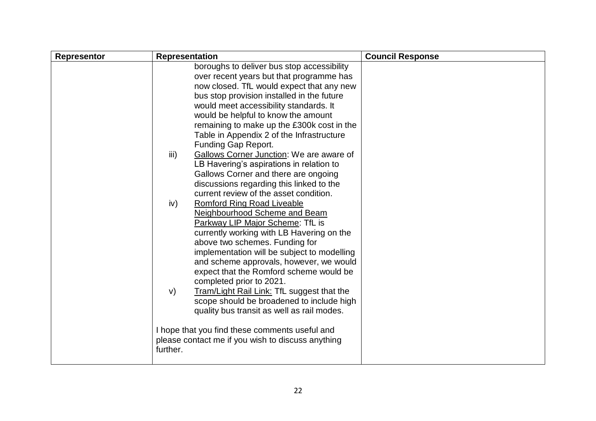| <b>Representor</b> | <b>Representation</b>                                                                                                                                                                                                                                                                                                                                                                                                                                                                                                                                                                                                                                                                                                                                                                                                                                                                                                                                                                                                                                                                                                              | <b>Council Response</b> |
|--------------------|------------------------------------------------------------------------------------------------------------------------------------------------------------------------------------------------------------------------------------------------------------------------------------------------------------------------------------------------------------------------------------------------------------------------------------------------------------------------------------------------------------------------------------------------------------------------------------------------------------------------------------------------------------------------------------------------------------------------------------------------------------------------------------------------------------------------------------------------------------------------------------------------------------------------------------------------------------------------------------------------------------------------------------------------------------------------------------------------------------------------------------|-------------------------|
|                    | boroughs to deliver bus stop accessibility<br>over recent years but that programme has<br>now closed. TfL would expect that any new<br>bus stop provision installed in the future<br>would meet accessibility standards. It<br>would be helpful to know the amount<br>remaining to make up the £300k cost in the<br>Table in Appendix 2 of the Infrastructure<br>Funding Gap Report.<br>Gallows Corner Junction: We are aware of<br>iii)<br>LB Havering's aspirations in relation to<br>Gallows Corner and there are ongoing<br>discussions regarding this linked to the<br>current review of the asset condition.<br><b>Romford Ring Road Liveable</b><br>iv)<br>Neighbourhood Scheme and Beam<br>Parkway LIP Major Scheme: TfL is<br>currently working with LB Havering on the<br>above two schemes. Funding for<br>implementation will be subject to modelling<br>and scheme approvals, however, we would<br>expect that the Romford scheme would be<br>completed prior to 2021.<br>Tram/Light Rail Link: TfL suggest that the<br>V)<br>scope should be broadened to include high<br>quality bus transit as well as rail modes. |                         |
|                    | I hope that you find these comments useful and<br>please contact me if you wish to discuss anything<br>further.                                                                                                                                                                                                                                                                                                                                                                                                                                                                                                                                                                                                                                                                                                                                                                                                                                                                                                                                                                                                                    |                         |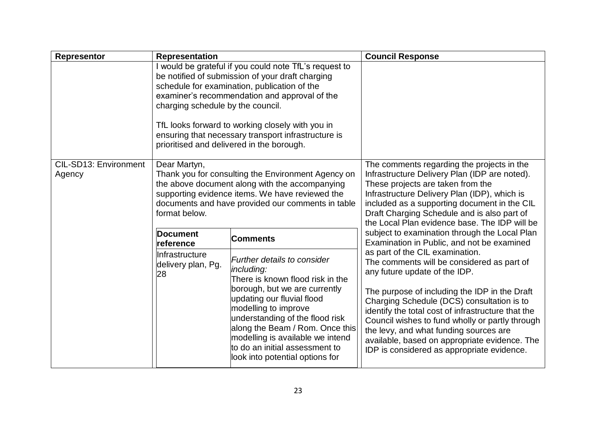| <b>Representor</b>              | <b>Representation</b>                                                                                                                                                                                                                                                                                                                                                                                    |                                                                                                                                                                                                                                                                                                                                                     | <b>Council Response</b>                                                                                                                                                                                                                                                                                                                                                                                                                                         |
|---------------------------------|----------------------------------------------------------------------------------------------------------------------------------------------------------------------------------------------------------------------------------------------------------------------------------------------------------------------------------------------------------------------------------------------------------|-----------------------------------------------------------------------------------------------------------------------------------------------------------------------------------------------------------------------------------------------------------------------------------------------------------------------------------------------------|-----------------------------------------------------------------------------------------------------------------------------------------------------------------------------------------------------------------------------------------------------------------------------------------------------------------------------------------------------------------------------------------------------------------------------------------------------------------|
|                                 | I would be grateful if you could note TfL's request to<br>be notified of submission of your draft charging<br>schedule for examination, publication of the<br>examiner's recommendation and approval of the<br>charging schedule by the council.<br>TfL looks forward to working closely with you in<br>ensuring that necessary transport infrastructure is<br>prioritised and delivered in the borough. |                                                                                                                                                                                                                                                                                                                                                     |                                                                                                                                                                                                                                                                                                                                                                                                                                                                 |
| CIL-SD13: Environment<br>Agency | Dear Martyn,<br>format below.                                                                                                                                                                                                                                                                                                                                                                            | Thank you for consulting the Environment Agency on<br>the above document along with the accompanying<br>supporting evidence items. We have reviewed the<br>documents and have provided our comments in table                                                                                                                                        | The comments regarding the projects in the<br>Infrastructure Delivery Plan (IDP are noted).<br>These projects are taken from the<br>Infrastructure Delivery Plan (IDP), which is<br>included as a supporting document in the CIL<br>Draft Charging Schedule and is also part of<br>the Local Plan evidence base. The IDP will be                                                                                                                                |
|                                 | Document<br><b>Comments</b><br>reference                                                                                                                                                                                                                                                                                                                                                                 |                                                                                                                                                                                                                                                                                                                                                     | subject to examination through the Local Plan<br>Examination in Public, and not be examined                                                                                                                                                                                                                                                                                                                                                                     |
|                                 | Infrastructure<br>delivery plan, Pg.<br>28                                                                                                                                                                                                                                                                                                                                                               | Further details to consider<br>including:<br>There is known flood risk in the<br>borough, but we are currently<br>updating our fluvial flood<br>modelling to improve<br>understanding of the flood risk<br>along the Beam / Rom. Once this<br>modelling is available we intend<br>to do an initial assessment to<br>look into potential options for | as part of the CIL examination.<br>The comments will be considered as part of<br>any future update of the IDP.<br>The purpose of including the IDP in the Draft<br>Charging Schedule (DCS) consultation is to<br>identify the total cost of infrastructure that the<br>Council wishes to fund wholly or partly through<br>the levy, and what funding sources are<br>available, based on appropriate evidence. The<br>IDP is considered as appropriate evidence. |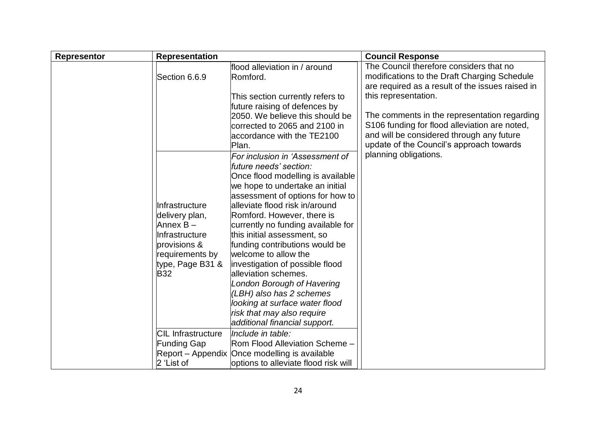| <b>Representor</b> | <b>Representation</b>                                                                                                                                                                  |                                                                                                                                                                                                                                                                                                                                                                                                                                                                                                                                                                                                                                                   | <b>Council Response</b>                                                                                                                                                                                                                                                                                                                                       |
|--------------------|----------------------------------------------------------------------------------------------------------------------------------------------------------------------------------------|---------------------------------------------------------------------------------------------------------------------------------------------------------------------------------------------------------------------------------------------------------------------------------------------------------------------------------------------------------------------------------------------------------------------------------------------------------------------------------------------------------------------------------------------------------------------------------------------------------------------------------------------------|---------------------------------------------------------------------------------------------------------------------------------------------------------------------------------------------------------------------------------------------------------------------------------------------------------------------------------------------------------------|
|                    | Section 6.6.9                                                                                                                                                                          | flood alleviation in / around<br>Romford.<br>This section currently refers to<br>future raising of defences by<br>2050. We believe this should be<br>corrected to 2065 and 2100 in<br>accordance with the TE2100<br>Plan.                                                                                                                                                                                                                                                                                                                                                                                                                         | The Council therefore considers that no<br>modifications to the Draft Charging Schedule<br>are required as a result of the issues raised in<br>this representation.<br>The comments in the representation regarding<br>S106 funding for flood alleviation are noted,<br>and will be considered through any future<br>update of the Council's approach towards |
|                    | Infrastructure<br>delivery plan,<br>Annex B-<br>Infrastructure<br>provisions &<br>requirements by<br>type, Page B31 &<br><b>B32</b><br><b>CIL Infrastructure</b><br><b>Funding Gap</b> | For inclusion in 'Assessment of<br>future needs' section:<br>Once flood modelling is available<br>we hope to undertake an initial<br>assessment of options for how to<br>alleviate flood risk in/around<br>Romford. However, there is<br>currently no funding available for<br>this initial assessment, so<br>funding contributions would be<br>welcome to allow the<br>investigation of possible flood<br>alleviation schemes.<br>London Borough of Havering<br>(LBH) also has 2 schemes<br>looking at surface water flood<br>risk that may also require<br>additional financial support.<br>Include in table:<br>Rom Flood Alleviation Scheme - | planning obligations.                                                                                                                                                                                                                                                                                                                                         |
|                    | 2 'List of                                                                                                                                                                             | Report – Appendix Once modelling is available<br>options to alleviate flood risk will                                                                                                                                                                                                                                                                                                                                                                                                                                                                                                                                                             |                                                                                                                                                                                                                                                                                                                                                               |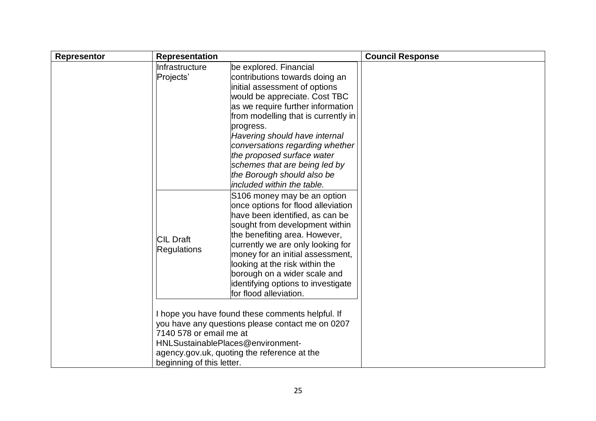| <b>Representor</b> | <b>Representation</b>                                                        |                                                                                                                                                                                                                                                                                                                                                                                                                                                                                                                                                                                                                                                                                                                                                                                                          | <b>Council Response</b> |
|--------------------|------------------------------------------------------------------------------|----------------------------------------------------------------------------------------------------------------------------------------------------------------------------------------------------------------------------------------------------------------------------------------------------------------------------------------------------------------------------------------------------------------------------------------------------------------------------------------------------------------------------------------------------------------------------------------------------------------------------------------------------------------------------------------------------------------------------------------------------------------------------------------------------------|-------------------------|
|                    | <b>Infrastructure</b><br>Projects'<br><b>CIL Draft</b><br><b>Regulations</b> | be explored. Financial<br>contributions towards doing an<br>initial assessment of options<br>would be appreciate. Cost TBC<br>as we require further information<br>from modelling that is currently in<br>progress.<br>Havering should have internal<br>conversations regarding whether<br>the proposed surface water<br>schemes that are being led by<br>the Borough should also be<br>included within the table.<br>S106 money may be an option<br>once options for flood alleviation<br>have been identified, as can be<br>sought from development within<br>the benefiting area. However,<br>currently we are only looking for<br>money for an initial assessment,<br>looking at the risk within the<br>borough on a wider scale and<br>identifying options to investigate<br>for flood alleviation. |                         |
|                    | 7140 578 or email me at<br>beginning of this letter.                         | I hope you have found these comments helpful. If<br>you have any questions please contact me on 0207<br>HNLSustainablePlaces@environment-<br>agency.gov.uk, quoting the reference at the                                                                                                                                                                                                                                                                                                                                                                                                                                                                                                                                                                                                                 |                         |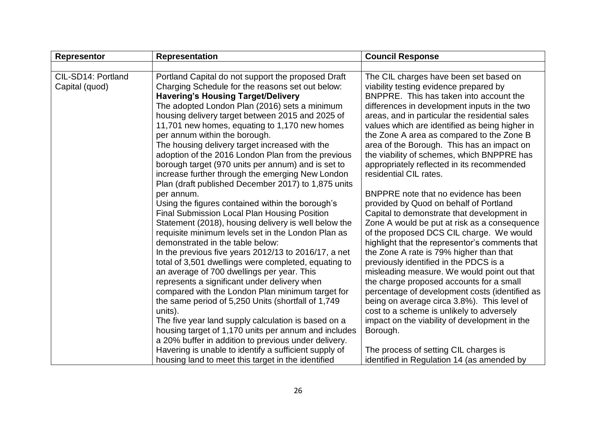| Representor                          | <b>Representation</b>                                                                                                                                                                                                                                                                                                                                                                                                                                                                                                                                                                                                                                                                                                                                                                                                                                                              | <b>Council Response</b>                                                                                                                                                                                                                                                                                                                                                                                                                                                                                                                                                                                                                                                                                              |
|--------------------------------------|------------------------------------------------------------------------------------------------------------------------------------------------------------------------------------------------------------------------------------------------------------------------------------------------------------------------------------------------------------------------------------------------------------------------------------------------------------------------------------------------------------------------------------------------------------------------------------------------------------------------------------------------------------------------------------------------------------------------------------------------------------------------------------------------------------------------------------------------------------------------------------|----------------------------------------------------------------------------------------------------------------------------------------------------------------------------------------------------------------------------------------------------------------------------------------------------------------------------------------------------------------------------------------------------------------------------------------------------------------------------------------------------------------------------------------------------------------------------------------------------------------------------------------------------------------------------------------------------------------------|
|                                      |                                                                                                                                                                                                                                                                                                                                                                                                                                                                                                                                                                                                                                                                                                                                                                                                                                                                                    |                                                                                                                                                                                                                                                                                                                                                                                                                                                                                                                                                                                                                                                                                                                      |
| CIL-SD14: Portland<br>Capital (quod) | Portland Capital do not support the proposed Draft<br>Charging Schedule for the reasons set out below:<br><b>Havering's Housing Target/Delivery</b><br>The adopted London Plan (2016) sets a minimum<br>housing delivery target between 2015 and 2025 of<br>11,701 new homes, equating to 1,170 new homes<br>per annum within the borough.<br>The housing delivery target increased with the<br>adoption of the 2016 London Plan from the previous<br>borough target (970 units per annum) and is set to<br>increase further through the emerging New London<br>Plan (draft published December 2017) to 1,875 units<br>per annum.                                                                                                                                                                                                                                                  | The CIL charges have been set based on<br>viability testing evidence prepared by<br>BNPPRE. This has taken into account the<br>differences in development inputs in the two<br>areas, and in particular the residential sales<br>values which are identified as being higher in<br>the Zone A area as compared to the Zone B<br>area of the Borough. This has an impact on<br>the viability of schemes, which BNPPRE has<br>appropriately reflected in its recommended<br>residential CIL rates.<br>BNPPRE note that no evidence has been                                                                                                                                                                            |
|                                      | Using the figures contained within the borough's<br><b>Final Submission Local Plan Housing Position</b><br>Statement (2018), housing delivery is well below the<br>requisite minimum levels set in the London Plan as<br>demonstrated in the table below:<br>In the previous five years 2012/13 to 2016/17, a net<br>total of 3,501 dwellings were completed, equating to<br>an average of 700 dwellings per year. This<br>represents a significant under delivery when<br>compared with the London Plan minimum target for<br>the same period of 5,250 Units (shortfall of 1,749<br>units).<br>The five year land supply calculation is based on a<br>housing target of 1,170 units per annum and includes<br>a 20% buffer in addition to previous under delivery.<br>Havering is unable to identify a sufficient supply of<br>housing land to meet this target in the identified | provided by Quod on behalf of Portland<br>Capital to demonstrate that development in<br>Zone A would be put at risk as a consequence<br>of the proposed DCS CIL charge. We would<br>highlight that the representor's comments that<br>the Zone A rate is 79% higher than that<br>previously identified in the PDCS is a<br>misleading measure. We would point out that<br>the charge proposed accounts for a small<br>percentage of development costs (identified as<br>being on average circa 3.8%). This level of<br>cost to a scheme is unlikely to adversely<br>impact on the viability of development in the<br>Borough.<br>The process of setting CIL charges is<br>identified in Regulation 14 (as amended by |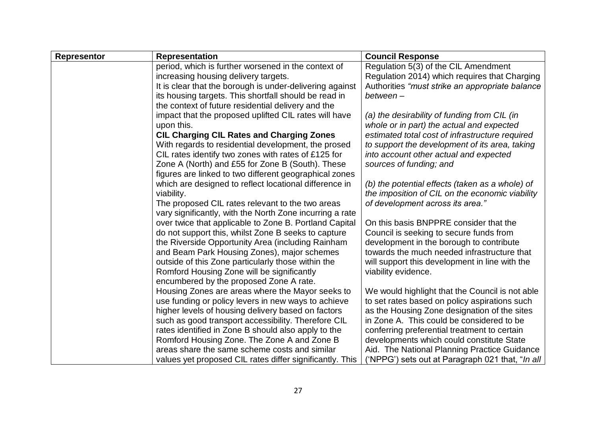| <b>Representor</b> | <b>Representation</b>                                    | <b>Council Response</b>                          |
|--------------------|----------------------------------------------------------|--------------------------------------------------|
|                    | period, which is further worsened in the context of      | Regulation 5(3) of the CIL Amendment             |
|                    | increasing housing delivery targets.                     | Regulation 2014) which requires that Charging    |
|                    | It is clear that the borough is under-delivering against | Authorities "must strike an appropriate balance  |
|                    | its housing targets. This shortfall should be read in    | between-                                         |
|                    | the context of future residential delivery and the       |                                                  |
|                    | impact that the proposed uplifted CIL rates will have    | (a) the desirability of funding from CIL (in     |
|                    | upon this.                                               | whole or in part) the actual and expected        |
|                    | <b>CIL Charging CIL Rates and Charging Zones</b>         | estimated total cost of infrastructure required  |
|                    | With regards to residential development, the prosed      | to support the development of its area, taking   |
|                    | CIL rates identify two zones with rates of £125 for      | into account other actual and expected           |
|                    | Zone A (North) and £55 for Zone B (South). These         | sources of funding; and                          |
|                    | figures are linked to two different geographical zones   |                                                  |
|                    | which are designed to reflect locational difference in   | (b) the potential effects (taken as a whole) of  |
|                    | viability.                                               | the imposition of CIL on the economic viability  |
|                    | The proposed CIL rates relevant to the two areas         | of development across its area."                 |
|                    | vary significantly, with the North Zone incurring a rate |                                                  |
|                    | over twice that applicable to Zone B. Portland Capital   | On this basis BNPPRE consider that the           |
|                    | do not support this, whilst Zone B seeks to capture      | Council is seeking to secure funds from          |
|                    | the Riverside Opportunity Area (including Rainham        | development in the borough to contribute         |
|                    | and Beam Park Housing Zones), major schemes              | towards the much needed infrastructure that      |
|                    | outside of this Zone particularly those within the       | will support this development in line with the   |
|                    | Romford Housing Zone will be significantly               | viability evidence.                              |
|                    | encumbered by the proposed Zone A rate.                  |                                                  |
|                    | Housing Zones are areas where the Mayor seeks to         | We would highlight that the Council is not able  |
|                    | use funding or policy levers in new ways to achieve      | to set rates based on policy aspirations such    |
|                    | higher levels of housing delivery based on factors       | as the Housing Zone designation of the sites     |
|                    | such as good transport accessibility. Therefore CIL      | in Zone A. This could be considered to be        |
|                    | rates identified in Zone B should also apply to the      | conferring preferential treatment to certain     |
|                    | Romford Housing Zone. The Zone A and Zone B              | developments which could constitute State        |
|                    | areas share the same scheme costs and similar            | Aid. The National Planning Practice Guidance     |
|                    | values yet proposed CIL rates differ significantly. This | ('NPPG') sets out at Paragraph 021 that, "In all |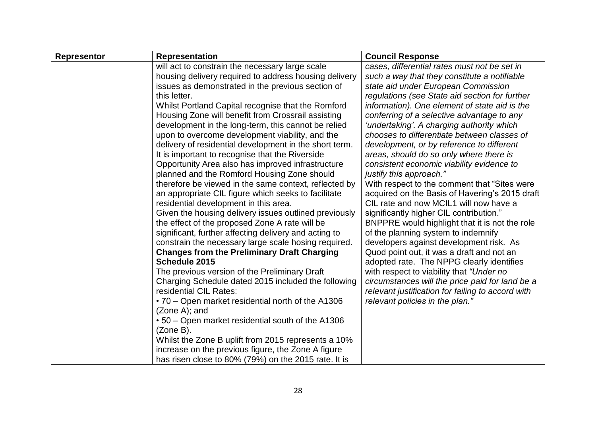| <b>Representor</b> | <b>Representation</b>                                  | <b>Council Response</b>                           |
|--------------------|--------------------------------------------------------|---------------------------------------------------|
|                    | will act to constrain the necessary large scale        | cases, differential rates must not be set in      |
|                    | housing delivery required to address housing delivery  | such a way that they constitute a notifiable      |
|                    | issues as demonstrated in the previous section of      | state aid under European Commission               |
|                    | this letter.                                           | regulations (see State aid section for further    |
|                    | Whilst Portland Capital recognise that the Romford     | information). One element of state aid is the     |
|                    | Housing Zone will benefit from Crossrail assisting     | conferring of a selective advantage to any        |
|                    | development in the long-term, this cannot be relied    | 'undertaking'. A charging authority which         |
|                    | upon to overcome development viability, and the        | chooses to differentiate between classes of       |
|                    | delivery of residential development in the short term. | development, or by reference to different         |
|                    | It is important to recognise that the Riverside        | areas, should do so only where there is           |
|                    | Opportunity Area also has improved infrastructure      | consistent economic viability evidence to         |
|                    | planned and the Romford Housing Zone should            | justify this approach."                           |
|                    | therefore be viewed in the same context, reflected by  | With respect to the comment that "Sites were"     |
|                    | an appropriate CIL figure which seeks to facilitate    | acquired on the Basis of Havering's 2015 draft    |
|                    | residential development in this area.                  | CIL rate and now MCIL1 will now have a            |
|                    | Given the housing delivery issues outlined previously  | significantly higher CIL contribution."           |
|                    | the effect of the proposed Zone A rate will be         | BNPPRE would highlight that it is not the role    |
|                    | significant, further affecting delivery and acting to  | of the planning system to indemnify               |
|                    | constrain the necessary large scale hosing required.   | developers against development risk. As           |
|                    | <b>Changes from the Preliminary Draft Charging</b>     | Quod point out, it was a draft and not an         |
|                    | Schedule 2015                                          | adopted rate. The NPPG clearly identifies         |
|                    | The previous version of the Preliminary Draft          | with respect to viability that "Under no          |
|                    | Charging Schedule dated 2015 included the following    | circumstances will the price paid for land be a   |
|                    | residential CIL Rates:                                 | relevant justification for failing to accord with |
|                    | •70 – Open market residential north of the A1306       | relevant policies in the plan."                   |
|                    | $(Zone A);$ and                                        |                                                   |
|                    | • 50 – Open market residential south of the A1306      |                                                   |
|                    | (Zone B).                                              |                                                   |
|                    | Whilst the Zone B uplift from 2015 represents a 10%    |                                                   |
|                    | increase on the previous figure, the Zone A figure     |                                                   |
|                    | has risen close to 80% (79%) on the 2015 rate. It is   |                                                   |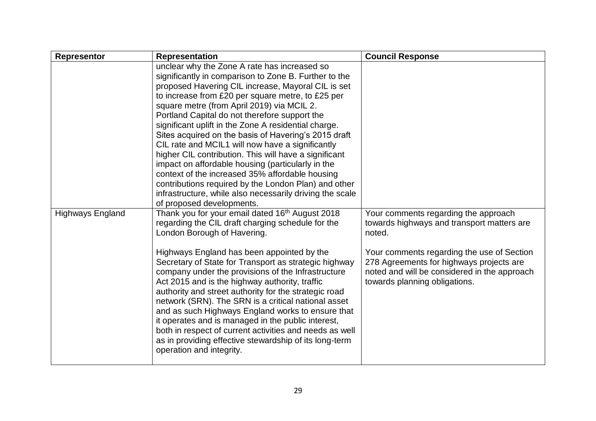| <b>Representor</b>      | <b>Representation</b>                                                                                                                                                                                                                                                                                                                                                                                                                                                                                                                                                                                                                                                                                                                                                                                                                                                                                                                                                                                                                                                                                                                                                                                                                                                                                                                                                                                                                                                                                                                               | <b>Council Response</b>                                                                                                                                                                                                                                                 |
|-------------------------|-----------------------------------------------------------------------------------------------------------------------------------------------------------------------------------------------------------------------------------------------------------------------------------------------------------------------------------------------------------------------------------------------------------------------------------------------------------------------------------------------------------------------------------------------------------------------------------------------------------------------------------------------------------------------------------------------------------------------------------------------------------------------------------------------------------------------------------------------------------------------------------------------------------------------------------------------------------------------------------------------------------------------------------------------------------------------------------------------------------------------------------------------------------------------------------------------------------------------------------------------------------------------------------------------------------------------------------------------------------------------------------------------------------------------------------------------------------------------------------------------------------------------------------------------------|-------------------------------------------------------------------------------------------------------------------------------------------------------------------------------------------------------------------------------------------------------------------------|
| <b>Highways England</b> | unclear why the Zone A rate has increased so<br>significantly in comparison to Zone B. Further to the<br>proposed Havering CIL increase, Mayoral CIL is set<br>to increase from £20 per square metre, to £25 per<br>square metre (from April 2019) via MCIL 2.<br>Portland Capital do not therefore support the<br>significant uplift in the Zone A residential charge.<br>Sites acquired on the basis of Havering's 2015 draft<br>CIL rate and MCIL1 will now have a significantly<br>higher CIL contribution. This will have a significant<br>impact on affordable housing (particularly in the<br>context of the increased 35% affordable housing<br>contributions required by the London Plan) and other<br>infrastructure, while also necessarily driving the scale<br>of proposed developments.<br>Thank you for your email dated 16 <sup>th</sup> August 2018<br>regarding the CIL draft charging schedule for the<br>London Borough of Havering.<br>Highways England has been appointed by the<br>Secretary of State for Transport as strategic highway<br>company under the provisions of the Infrastructure<br>Act 2015 and is the highway authority, traffic<br>authority and street authority for the strategic road<br>network (SRN). The SRN is a critical national asset<br>and as such Highways England works to ensure that<br>it operates and is managed in the public interest,<br>both in respect of current activities and needs as well<br>as in providing effective stewardship of its long-term<br>operation and integrity. | Your comments regarding the approach<br>towards highways and transport matters are<br>noted.<br>Your comments regarding the use of Section<br>278 Agreements for highways projects are<br>noted and will be considered in the approach<br>towards planning obligations. |